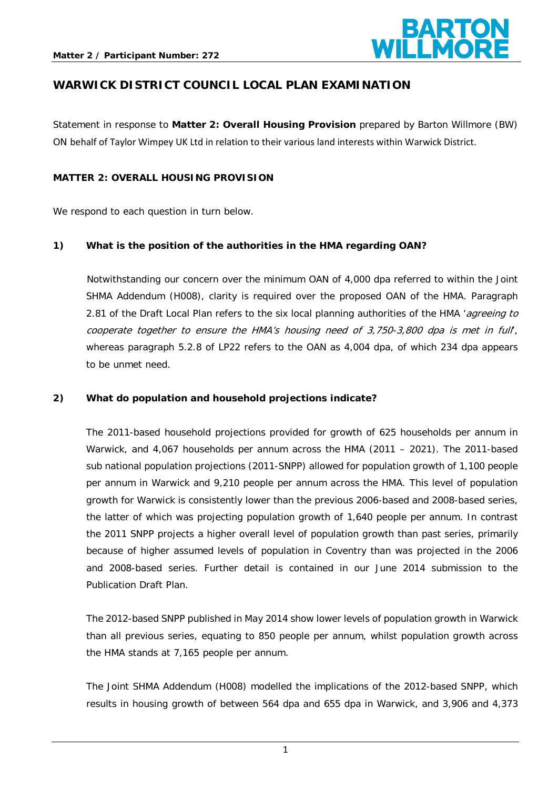

# **WARWICK DISTRICT COUNCIL LOCAL PLAN EXAMINATION**

Statement in response to **Matter 2: Overall Housing Provision** prepared by Barton Willmore (BW) ON behalf of Taylor Wimpey UK Ltd in relation to their various land interests within Warwick District.

#### **MATTER 2: OVERALL HOUSING PROVISION**

We respond to each question in turn below.

#### **1) What is the position of the authorities in the HMA regarding OAN?**

Notwithstanding our concern over the minimum OAN of 4,000 dpa referred to within the Joint SHMA Addendum (H008), clarity is required over the proposed OAN of the HMA. Paragraph 2.81 of the Draft Local Plan refers to the six local planning authorities of the HMA 'agreeing to cooperate together to ensure the HMA's housing need of 3,750-3,800 dpa is met in full', whereas paragraph 5.2.8 of LP22 refers to the OAN as 4,004 dpa, of which 234 dpa appears to be unmet need.

#### **2) What do population and household projections indicate?**

The 2011-based household projections provided for growth of 625 households per annum in Warwick, and 4,067 households per annum across the HMA (2011 – 2021). The 2011-based sub national population projections (2011-SNPP) allowed for population growth of 1,100 people per annum in Warwick and 9,210 people per annum across the HMA. This level of population growth for Warwick is consistently lower than the previous 2006-based and 2008-based series, the latter of which was projecting population growth of 1,640 people per annum. In contrast the 2011 SNPP projects a higher overall level of population growth than past series, primarily because of higher assumed levels of population in Coventry than was projected in the 2006 and 2008-based series. Further detail is contained in our June 2014 submission to the Publication Draft Plan.

The 2012-based SNPP published in May 2014 show lower levels of population growth in Warwick than all previous series, equating to 850 people per annum, whilst population growth across the HMA stands at 7,165 people per annum.

The Joint SHMA Addendum (H008) modelled the implications of the 2012-based SNPP, which results in housing growth of between 564 dpa and 655 dpa in Warwick, and 3,906 and 4,373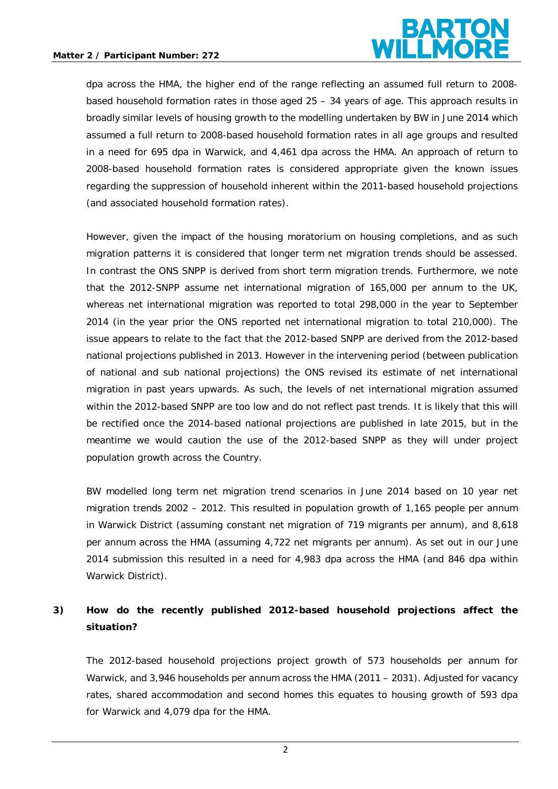

dpa across the HMA, the higher end of the range reflecting an assumed full return to 2008 based household formation rates in those aged 25 – 34 years of age. This approach results in broadly similar levels of housing growth to the modelling undertaken by BW in June 2014 which assumed a full return to 2008-based household formation rates in all age groups and resulted in a need for 695 dpa in Warwick, and 4,461 dpa across the HMA. An approach of return to 2008-based household formation rates is considered appropriate given the known issues regarding the suppression of household inherent within the 2011-based household projections (and associated household formation rates).

However, given the impact of the housing moratorium on housing completions, and as such migration patterns it is considered that longer term net migration trends should be assessed. In contrast the ONS SNPP is derived from short term migration trends. Furthermore, we note that the 2012-SNPP assume net international migration of 165,000 per annum to the UK, whereas net international migration was reported to total 298,000 in the year to September 2014 (in the year prior the ONS reported net international migration to total 210,000). The issue appears to relate to the fact that the 2012-based SNPP are derived from the 2012-based national projections published in 2013. However in the intervening period (between publication of national and sub national projections) the ONS revised its estimate of net international migration in past years upwards. As such, the levels of net international migration assumed within the 2012-based SNPP are too low and do not reflect past trends. It is likely that this will be rectified once the 2014-based national projections are published in late 2015, but in the meantime we would caution the use of the 2012-based SNPP as they will under project population growth across the Country.

BW modelled long term net migration trend scenarios in June 2014 based on 10 year net migration trends 2002 – 2012. This resulted in population growth of 1,165 people per annum in Warwick District (assuming constant net migration of 719 migrants per annum), and 8,618 per annum across the HMA (assuming 4,722 net migrants per annum). As set out in our June 2014 submission this resulted in a need for 4,983 dpa across the HMA (and 846 dpa within Warwick District).

# **3) How do the recently published 2012-based household projections affect the situation?**

The 2012-based household projections project growth of 573 households per annum for Warwick, and 3,946 households per annum across the HMA (2011 – 2031). Adjusted for vacancy rates, shared accommodation and second homes this equates to housing growth of 593 dpa for Warwick and 4,079 dpa for the HMA.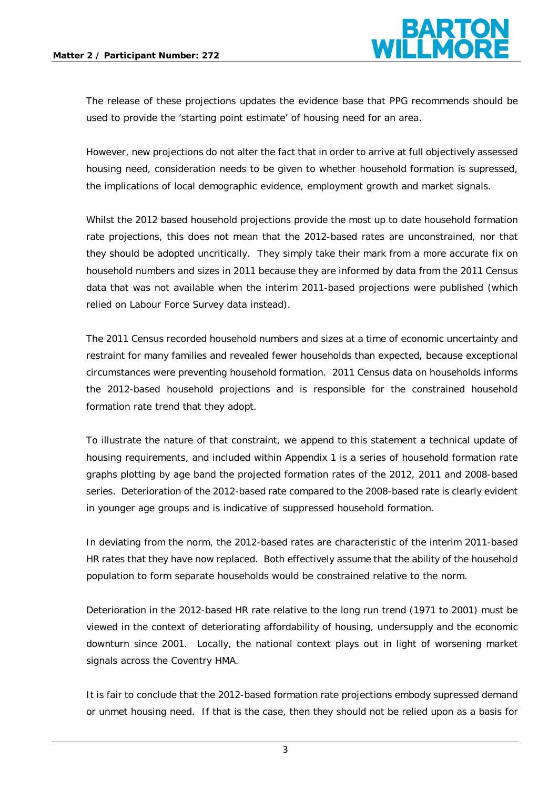

The release of these projections updates the evidence base that PPG recommends should be used to provide the 'starting point estimate' of housing need for an area.

However, new projections do not alter the fact that in order to arrive at full objectively assessed housing need, consideration needs to be given to whether household formation is supressed, the implications of local demographic evidence, employment growth and market signals.

Whilst the 2012 based household projections provide the most up to date household formation rate projections, this does not mean that the 2012-based rates are unconstrained, nor that they should be adopted uncritically. They simply take their mark from a more accurate fix on household numbers and sizes in 2011 because they are informed by data from the 2011 Census data that was not available when the interim 2011-based projections were published (which relied on Labour Force Survey data instead).

The 2011 Census recorded household numbers and sizes at a time of economic uncertainty and restraint for many families and revealed fewer households than expected, because exceptional circumstances were preventing household formation. 2011 Census data on households informs the 2012-based household projections and is responsible for the constrained household formation rate trend that they adopt.

To illustrate the nature of that constraint, we append to this statement a technical update of housing requirements, and included within Appendix 1 is a series of household formation rate graphs plotting by age band the projected formation rates of the 2012, 2011 and 2008-based series. Deterioration of the 2012-based rate compared to the 2008-based rate is clearly evident in younger age groups and is indicative of suppressed household formation.

In deviating from the norm, the 2012-based rates are characteristic of the interim 2011-based HR rates that they have now replaced. Both effectively assume that the ability of the household population to form separate households would be constrained relative to the norm.

Deterioration in the 2012-based HR rate relative to the long run trend (1971 to 2001) must be viewed in the context of deteriorating affordability of housing, undersupply and the economic downturn since 2001. Locally, the national context plays out in light of worsening market signals across the Coventry HMA.

It is fair to conclude that the 2012-based formation rate projections embody supressed demand or unmet housing need. If that is the case, then they should not be relied upon as a basis for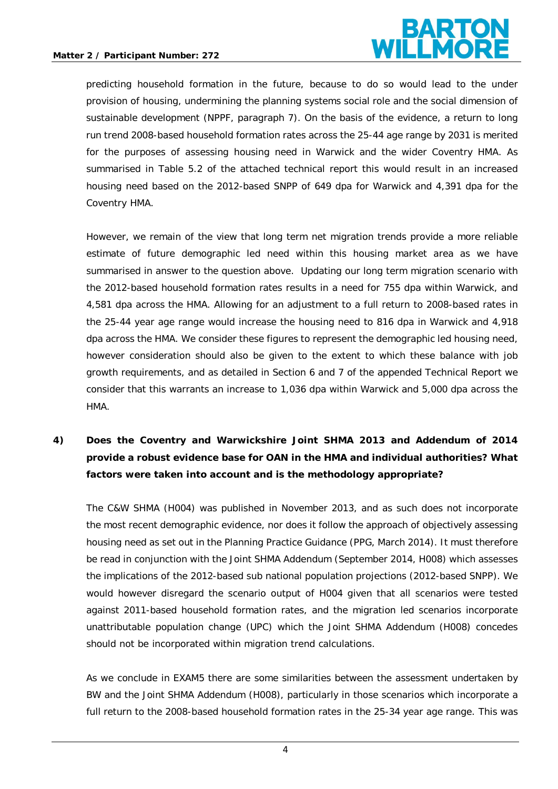

predicting household formation in the future, because to do so would lead to the under provision of housing, undermining the planning systems social role and the social dimension of sustainable development (NPPF, paragraph 7). On the basis of the evidence, a return to long run trend 2008-based household formation rates across the 25-44 age range by 2031 is merited for the purposes of assessing housing need in Warwick and the wider Coventry HMA. As summarised in Table 5.2 of the attached technical report this would result in an increased housing need based on the 2012-based SNPP of 649 dpa for Warwick and 4,391 dpa for the Coventry HMA.

However, we remain of the view that long term net migration trends provide a more reliable estimate of future demographic led need within this housing market area as we have summarised in answer to the question above. Updating our long term migration scenario with the 2012-based household formation rates results in a need for 755 dpa within Warwick, and 4,581 dpa across the HMA. Allowing for an adjustment to a full return to 2008-based rates in the 25-44 year age range would increase the housing need to 816 dpa in Warwick and 4,918 dpa across the HMA. We consider these figures to represent the demographic led housing need, however consideration should also be given to the extent to which these balance with job growth requirements, and as detailed in Section 6 and 7 of the appended Technical Report we consider that this warrants an increase to 1,036 dpa within Warwick and 5,000 dpa across the HMA.

# **4) Does the Coventry and Warwickshire Joint SHMA 2013 and Addendum of 2014 provide a robust evidence base for OAN in the HMA and individual authorities? What factors were taken into account and is the methodology appropriate?**

The C&W SHMA (H004) was published in November 2013, and as such does not incorporate the most recent demographic evidence, nor does it follow the approach of objectively assessing housing need as set out in the Planning Practice Guidance (PPG, March 2014). It must therefore be read in conjunction with the Joint SHMA Addendum (September 2014, H008) which assesses the implications of the 2012-based sub national population projections (2012-based SNPP). We would however disregard the scenario output of H004 given that all scenarios were tested against 2011-based household formation rates, and the migration led scenarios incorporate unattributable population change (UPC) which the Joint SHMA Addendum (H008) concedes should not be incorporated within migration trend calculations.

As we conclude in EXAM5 there are some similarities between the assessment undertaken by BW and the Joint SHMA Addendum (H008), particularly in those scenarios which incorporate a full return to the 2008-based household formation rates in the 25-34 year age range. This was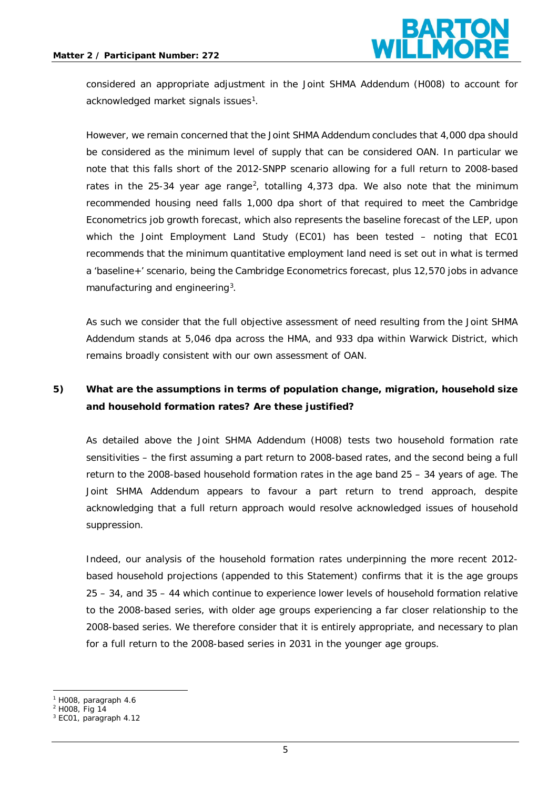

considered an appropriate adjustment in the Joint SHMA Addendum (H008) to account for acknowledged market signals issues $^{\rm 1}$  $^{\rm 1}$  $^{\rm 1}$ .

However, we remain concerned that the Joint SHMA Addendum concludes that 4,000 dpa should be considered as the minimum level of supply that can be considered OAN. In particular we note that this falls short of the 2012-SNPP scenario allowing for a full return to 2008-based rates in the [2](#page-4-1)5-34 year age range<sup>2</sup>, totalling 4,373 dpa. We also note that the minimum recommended housing need falls 1,000 dpa short of that required to meet the Cambridge Econometrics job growth forecast, which also represents the baseline forecast of the LEP, upon which the Joint Employment Land Study (EC01) has been tested – noting that EC01 recommends that the minimum quantitative employment land need is set out in what is termed a 'baseline+' scenario, being the Cambridge Econometrics forecast, plus 12,570 jobs in advance manufacturing and engineering<sup>[3](#page-4-2)</sup>.

As such we consider that the full objective assessment of need resulting from the Joint SHMA Addendum stands at 5,046 dpa across the HMA, and 933 dpa within Warwick District, which remains broadly consistent with our own assessment of OAN.

# **5) What are the assumptions in terms of population change, migration, household size and household formation rates? Are these justified?**

As detailed above the Joint SHMA Addendum (H008) tests two household formation rate sensitivities – the first assuming a part return to 2008-based rates, and the second being a full return to the 2008-based household formation rates in the age band 25 – 34 years of age. The Joint SHMA Addendum appears to favour a part return to trend approach, despite acknowledging that a full return approach would resolve acknowledged issues of household suppression.

Indeed, our analysis of the household formation rates underpinning the more recent 2012 based household projections (appended to this Statement) confirms that it is the age groups 25 – 34, and 35 – 44 which continue to experience lower levels of household formation relative to the 2008-based series, with older age groups experiencing a far closer relationship to the 2008-based series. We therefore consider that it is entirely appropriate, and necessary to plan for a full return to the 2008-based series in 2031 in the younger age groups.

**.** 

<span id="page-4-0"></span><sup>1</sup> H008, paragraph 4.6

<span id="page-4-2"></span><span id="page-4-1"></span><sup>2</sup> H008, Fig 14

<sup>3</sup> EC01, paragraph 4.12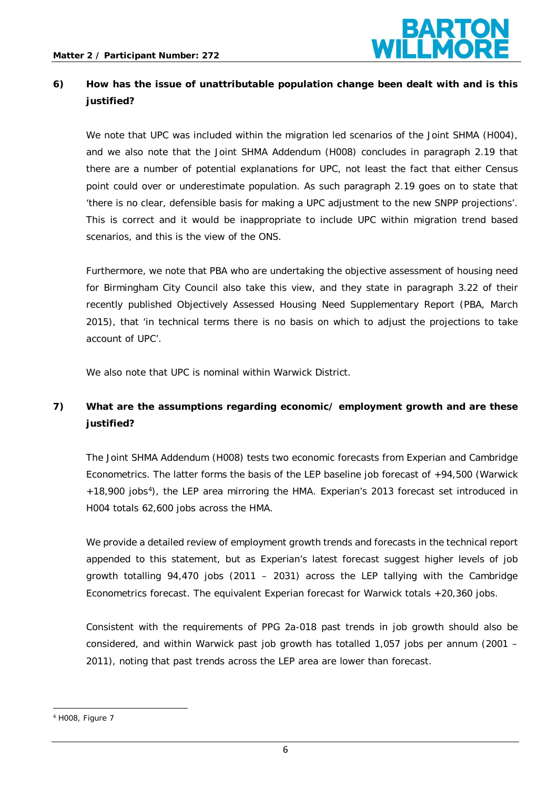

# **6) How has the issue of unattributable population change been dealt with and is this justified?**

We note that UPC was included within the migration led scenarios of the Joint SHMA (H004), and we also note that the Joint SHMA Addendum (H008) concludes in paragraph 2.19 that there are a number of potential explanations for UPC, not least the fact that either Census point could over or underestimate population. As such paragraph 2.19 goes on to state that 'there is no clear, defensible basis for making a UPC adjustment to the new SNPP projections'. This is correct and it would be inappropriate to include UPC within migration trend based scenarios, and this is the view of the ONS.

Furthermore, we note that PBA who are undertaking the objective assessment of housing need for Birmingham City Council also take this view, and they state in paragraph 3.22 of their recently published Objectively Assessed Housing Need Supplementary Report (PBA, March 2015), that 'in technical terms there is no basis on which to adjust the projections to take account of UPC'.

We also note that UPC is nominal within Warwick District.

# **7) What are the assumptions regarding economic/ employment growth and are these justified?**

The Joint SHMA Addendum (H008) tests two economic forecasts from Experian and Cambridge Econometrics. The latter forms the basis of the LEP baseline job forecast of +94,500 (Warwick +18,900 jobs<sup>4</sup>), the LEP area mirroring the HMA. Experian's 2013 forecast set introduced in H004 totals 62,600 jobs across the HMA.

We provide a detailed review of employment growth trends and forecasts in the technical report appended to this statement, but as Experian's latest forecast suggest higher levels of job growth totalling 94,470 jobs (2011 – 2031) across the LEP tallying with the Cambridge Econometrics forecast. The equivalent Experian forecast for Warwick totals +20,360 jobs.

Consistent with the requirements of PPG 2a-018 past trends in job growth should also be considered, and within Warwick past job growth has totalled 1,057 jobs per annum (2001 – 2011), noting that past trends across the LEP area are lower than forecast.

<span id="page-5-0"></span><sup>4</sup> H008, Figure 7 1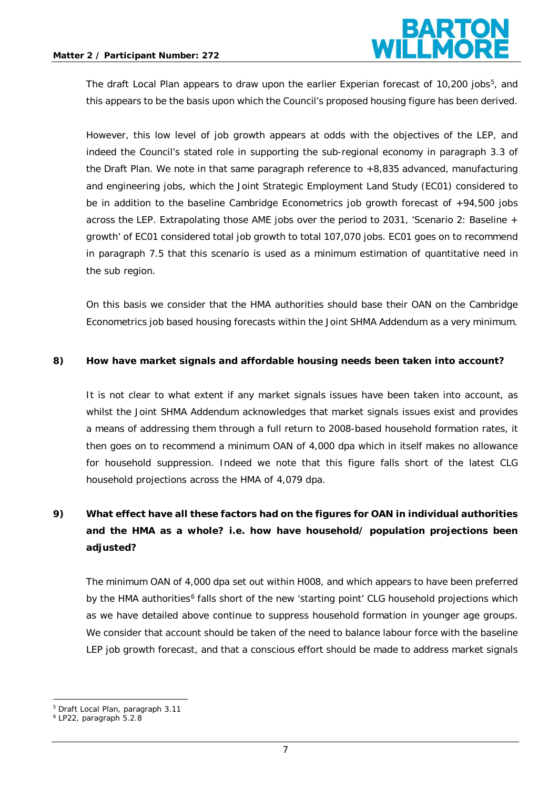

The draft Local Plan appears to draw upon the earlier Experian forecast of 10,200 jobs<sup>[5](#page-6-0)</sup>, and this appears to be the basis upon which the Council's proposed housing figure has been derived.

However, this low level of job growth appears at odds with the objectives of the LEP, and indeed the Council's stated role in supporting the sub-regional economy in paragraph 3.3 of the Draft Plan. We note in that same paragraph reference to +8,835 advanced, manufacturing and engineering jobs, which the Joint Strategic Employment Land Study (EC01) considered to be in addition to the baseline Cambridge Econometrics job growth forecast of +94,500 jobs across the LEP. Extrapolating those AME jobs over the period to 2031, 'Scenario 2: Baseline + growth' of EC01 considered total job growth to total 107,070 jobs. EC01 goes on to recommend in paragraph 7.5 that this scenario is used as a minimum estimation of quantitative need in the sub region.

On this basis we consider that the HMA authorities should base their OAN on the Cambridge Econometrics job based housing forecasts within the Joint SHMA Addendum as a very minimum.

#### **8) How have market signals and affordable housing needs been taken into account?**

It is not clear to what extent if any market signals issues have been taken into account, as whilst the Joint SHMA Addendum acknowledges that market signals issues exist and provides a means of addressing them through a full return to 2008-based household formation rates, it then goes on to recommend a minimum OAN of 4,000 dpa which in itself makes no allowance for household suppression. Indeed we note that this figure falls short of the latest CLG household projections across the HMA of 4,079 dpa.

# **9) What effect have all these factors had on the figures for OAN in individual authorities and the HMA as a whole? i.e. how have household/ population projections been adjusted?**

The minimum OAN of 4,000 dpa set out within H008, and which appears to have been preferred by the HMA authorities<sup>[6](#page-6-1)</sup> falls short of the new 'starting point' CLG household projections which as we have detailed above continue to suppress household formation in younger age groups. We consider that account should be taken of the need to balance labour force with the baseline LEP job growth forecast, and that a conscious effort should be made to address market signals

 $\overline{\phantom{a}}$ 

<span id="page-6-0"></span><sup>5</sup> Draft Local Plan, paragraph 3.11

<span id="page-6-1"></span><sup>6</sup> LP22, paragraph 5.2.8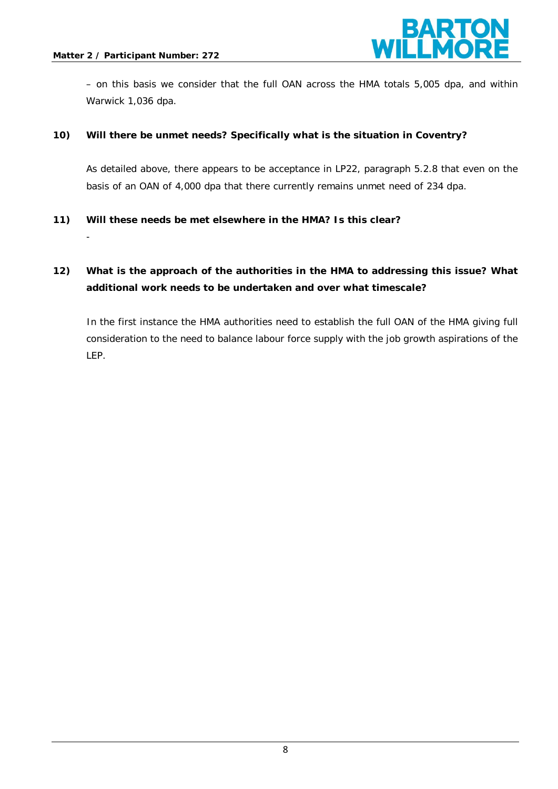-



– on this basis we consider that the full OAN across the HMA totals 5,005 dpa, and within Warwick 1,036 dpa.

#### **10) Will there be unmet needs? Specifically what is the situation in Coventry?**

As detailed above, there appears to be acceptance in LP22, paragraph 5.2.8 that even on the basis of an OAN of 4,000 dpa that there currently remains unmet need of 234 dpa.

#### **11) Will these needs be met elsewhere in the HMA? Is this clear?**

# **12) What is the approach of the authorities in the HMA to addressing this issue? What additional work needs to be undertaken and over what timescale?**

In the first instance the HMA authorities need to establish the full OAN of the HMA giving full consideration to the need to balance labour force supply with the job growth aspirations of the LEP.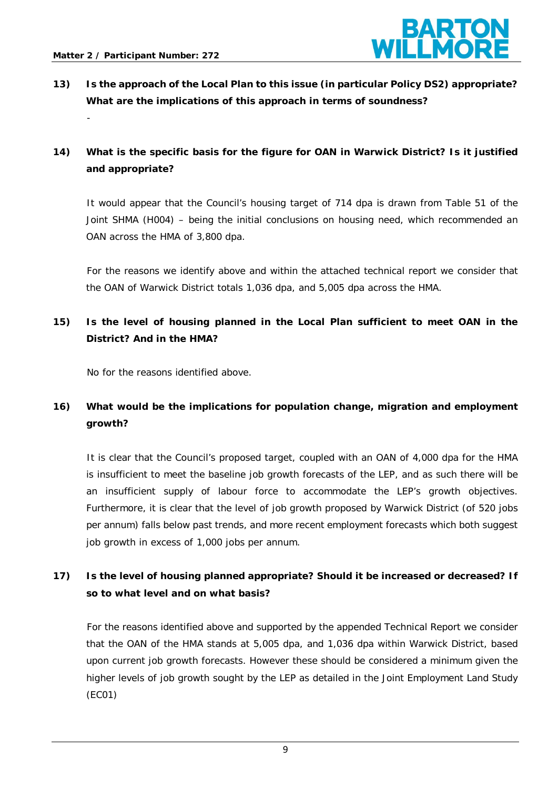-



**13) Is the approach of the Local Plan to this issue (in particular Policy DS2) appropriate? What are the implications of this approach in terms of soundness?**

# **14) What is the specific basis for the figure for OAN in Warwick District? Is it justified and appropriate?**

It would appear that the Council's housing target of 714 dpa is drawn from Table 51 of the Joint SHMA (H004) – being the initial conclusions on housing need, which recommended an OAN across the HMA of 3,800 dpa.

For the reasons we identify above and within the attached technical report we consider that the OAN of Warwick District totals 1,036 dpa, and 5,005 dpa across the HMA.

# **15) Is the level of housing planned in the Local Plan sufficient to meet OAN in the District? And in the HMA?**

No for the reasons identified above.

# **16) What would be the implications for population change, migration and employment growth?**

It is clear that the Council's proposed target, coupled with an OAN of 4,000 dpa for the HMA is insufficient to meet the baseline job growth forecasts of the LEP, and as such there will be an insufficient supply of labour force to accommodate the LEP's growth objectives. Furthermore, it is clear that the level of job growth proposed by Warwick District (of 520 jobs per annum) falls below past trends, and more recent employment forecasts which both suggest job growth in excess of 1,000 jobs per annum.

# **17) Is the level of housing planned appropriate? Should it be increased or decreased? If so to what level and on what basis?**

For the reasons identified above and supported by the appended Technical Report we consider that the OAN of the HMA stands at 5,005 dpa, and 1,036 dpa within Warwick District, based upon current job growth forecasts. However these should be considered a minimum given the higher levels of job growth sought by the LEP as detailed in the Joint Employment Land Study (EC01)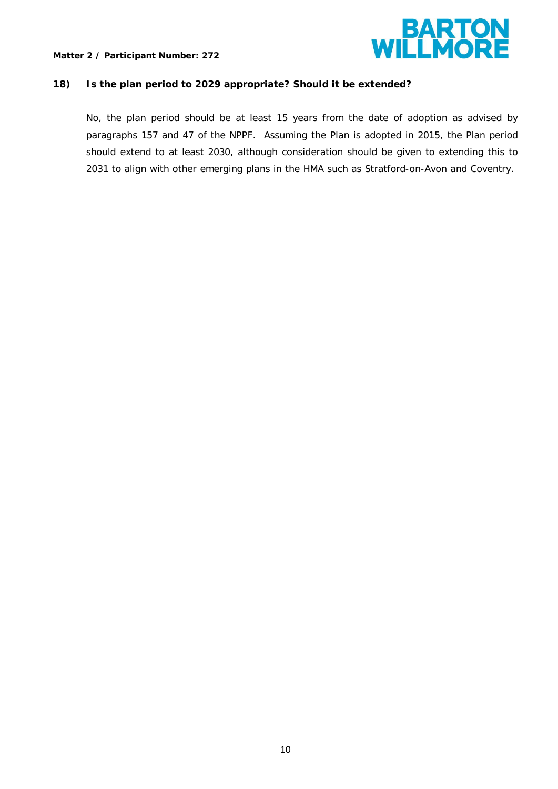

#### **18) Is the plan period to 2029 appropriate? Should it be extended?**

No, the plan period should be at least 15 years from the date of adoption as advised by paragraphs 157 and 47 of the NPPF. Assuming the Plan is adopted in 2015, the Plan period should extend to at least 2030, although consideration should be given to extending this to 2031 to align with other emerging plans in the HMA such as Stratford-on-Avon and Coventry.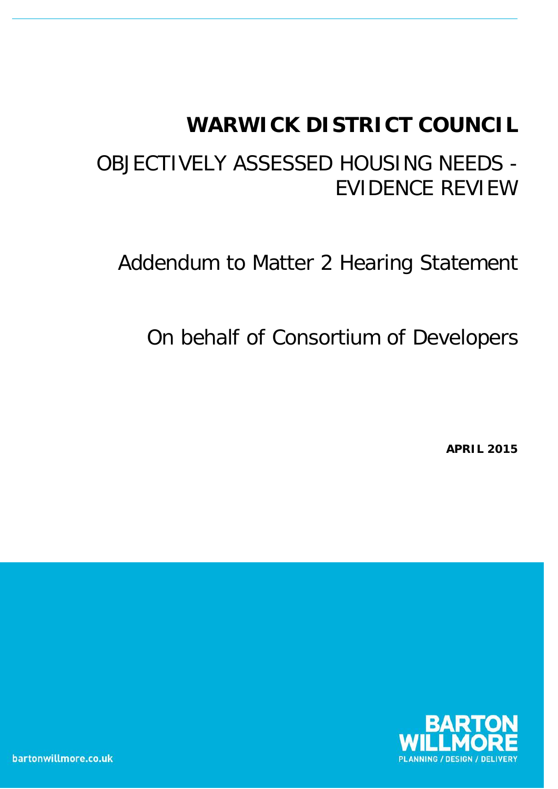# **WARWICK DISTRICT COUNCIL**

# OBJECTIVELY ASSESSED HOUSING NEEDS - EVIDENCE REVIEW

Addendum to Matter 2 Hearing Statement

On behalf of Consortium of Developers

**APRIL 2015**

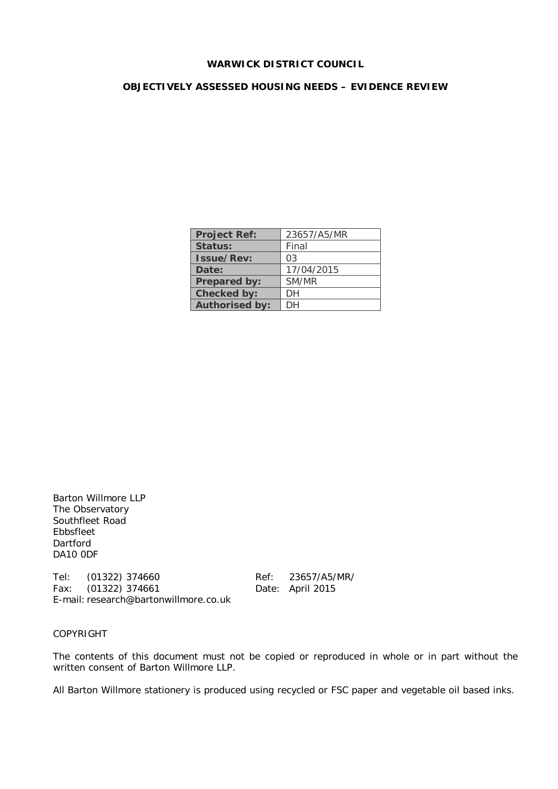#### **WARWICK DISTRICT COUNCIL**

#### **OBJECTIVELY ASSESSED HOUSING NEEDS – EVIDENCE REVIEW**

| <b>Project Ref:</b>   | 23657/A5/MR    |
|-----------------------|----------------|
| Status:               | Final          |
| <b>Issue/Rev:</b>     | 0 <sub>3</sub> |
| Date:                 | 17/04/2015     |
| Prepared by:          | SM/MR          |
| Checked by:           | DН             |
| <b>Authorised by:</b> | DН             |

Barton Willmore LLP The Observatory Southfleet Road Ebbsfleet Dartford DA10 0DF

Tel: (01322) 374660<br>
Fax: (01322) 374661 Date: April 2015 Fax:  $(01322)$  374661 E-mail: research@bartonwillmore.co.uk

COPYRIGHT

The contents of this document must not be copied or reproduced in whole or in part without the written consent of Barton Willmore LLP.

All Barton Willmore stationery is produced using recycled or FSC paper and vegetable oil based inks.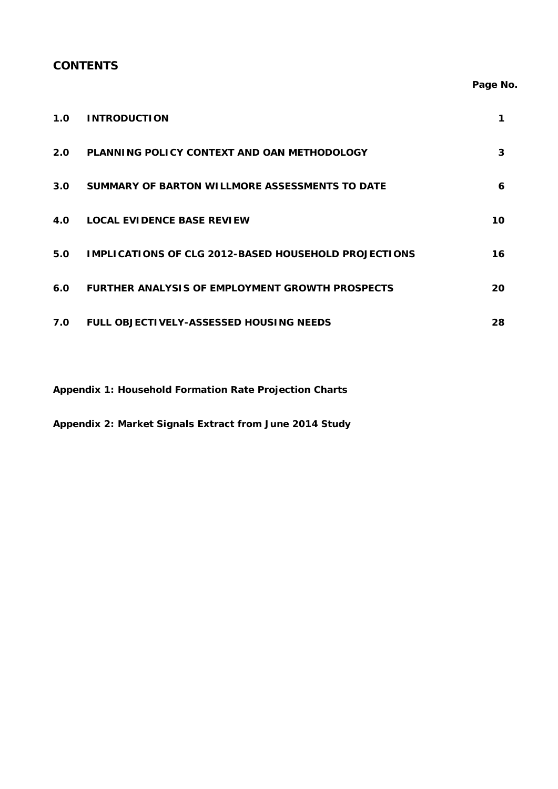## **CONTENTS**

## **Page No.**

| 1.0 | <b>INTRODUCTION</b>                                         |    |
|-----|-------------------------------------------------------------|----|
| 2.0 | PLANNING POLICY CONTEXT AND OAN METHODOLOGY                 | 3  |
| 3.0 | <b>SUMMARY OF BARTON WILLMORE ASSESSMENTS TO DATE</b>       | 6  |
| 4.0 | <b>LOCAL EVIDENCE BASE REVIEW</b>                           | 10 |
| 5.0 | <b>IMPLICATIONS OF CLG 2012-BASED HOUSEHOLD PROJECTIONS</b> | 16 |
| 6.0 | <b>FURTHER ANALYSIS OF EMPLOYMENT GROWTH PROSPECTS</b>      | 20 |
| 7.0 | <b>FULL OBJECTIVELY-ASSESSED HOUSING NEEDS</b>              | 28 |

**Appendix 1: Household Formation Rate Projection Charts**

**Appendix 2: Market Signals Extract from June 2014 Study**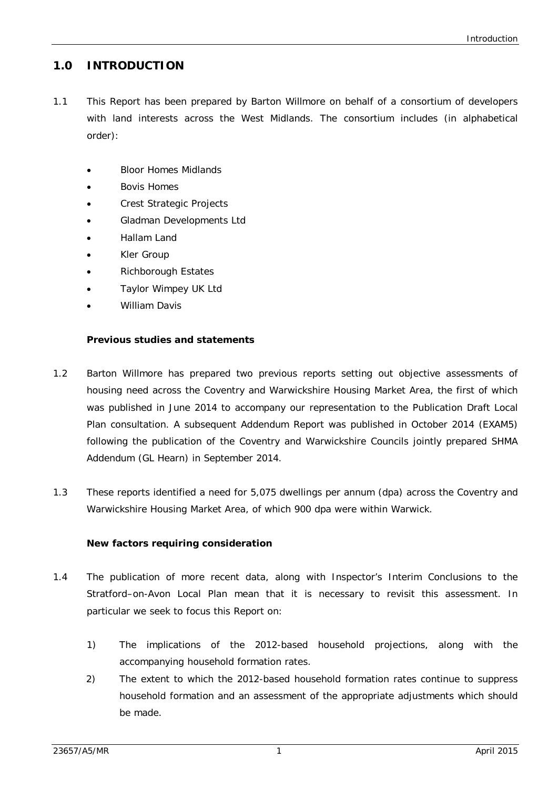# **1.0 INTRODUCTION**

- 1.1 This Report has been prepared by Barton Willmore on behalf of a consortium of developers with land interests across the West Midlands. The consortium includes (in alphabetical order):
	- Bloor Homes Midlands
	- Bovis Homes
	- Crest Strategic Projects
	- Gladman Developments Ltd
	- Hallam Land
	- Kler Group
	- Richborough Estates
	- Taylor Wimpey UK Ltd
	- William Davis

#### **Previous studies and statements**

- 1.2 Barton Willmore has prepared two previous reports setting out objective assessments of housing need across the Coventry and Warwickshire Housing Market Area, the first of which was published in June 2014 to accompany our representation to the Publication Draft Local Plan consultation. A subsequent Addendum Report was published in October 2014 (EXAM5) following the publication of the Coventry and Warwickshire Councils jointly prepared SHMA Addendum (GL Hearn) in September 2014.
- 1.3 These reports identified a need for 5,075 dwellings per annum (dpa) across the Coventry and Warwickshire Housing Market Area, of which 900 dpa were within Warwick.

#### **New factors requiring consideration**

- 1.4 The publication of more recent data, along with Inspector's Interim Conclusions to the Stratford–on-Avon Local Plan mean that it is necessary to revisit this assessment. In particular we seek to focus this Report on:
	- 1) The implications of the 2012-based household projections, along with the accompanying household formation rates.
	- 2) The extent to which the 2012-based household formation rates continue to suppress household formation and an assessment of the appropriate adjustments which should be made.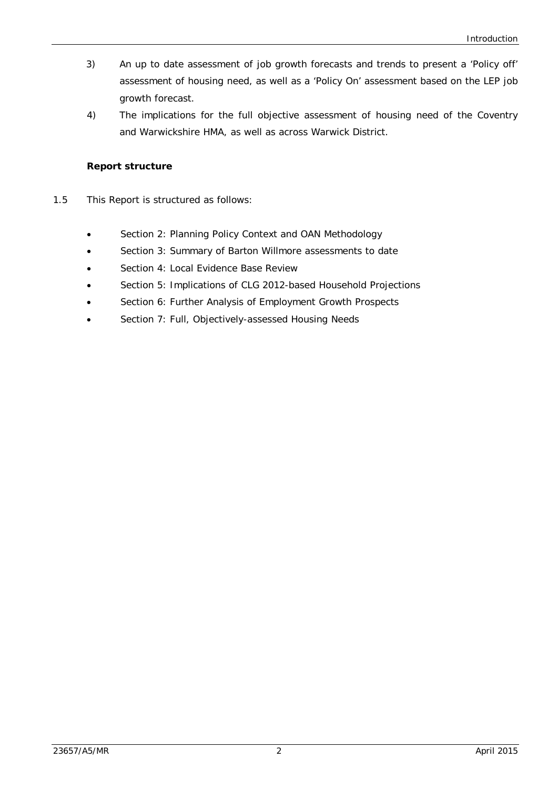- 3) An up to date assessment of job growth forecasts and trends to present a 'Policy off' assessment of housing need, as well as a 'Policy On' assessment based on the LEP job growth forecast.
- 4) The implications for the full objective assessment of housing need of the Coventry and Warwickshire HMA, as well as across Warwick District.

## **Report structure**

- 1.5 This Report is structured as follows:
	- Section 2: Planning Policy Context and OAN Methodology
	- Section 3: Summary of Barton Willmore assessments to date
	- Section 4: Local Evidence Base Review
	- Section 5: Implications of CLG 2012-based Household Projections
	- Section 6: Further Analysis of Employment Growth Prospects
	- Section 7: Full, Objectively-assessed Housing Needs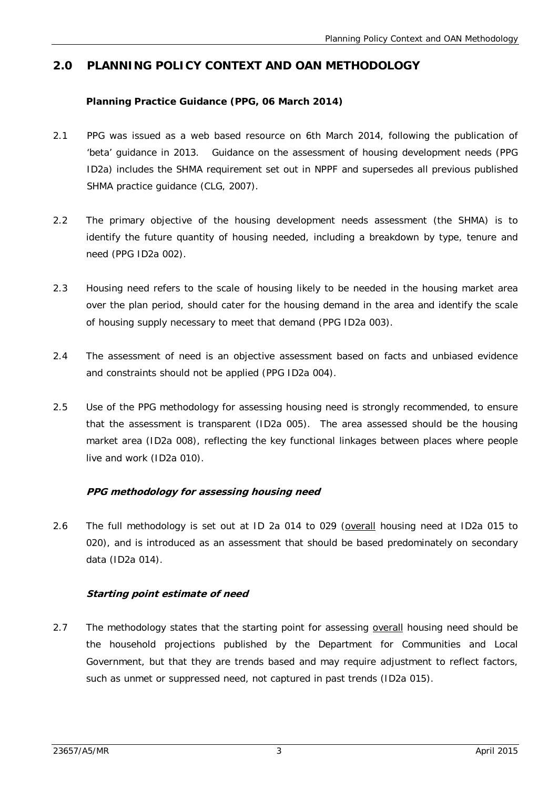# **2.0 PLANNING POLICY CONTEXT AND OAN METHODOLOGY**

## **Planning Practice Guidance (PPG, 06 March 2014)**

- 2.1 PPG was issued as a web based resource on 6th March 2014, following the publication of 'beta' guidance in 2013. Guidance on the assessment of housing development needs (PPG ID2a) includes the SHMA requirement set out in NPPF and supersedes all previous published SHMA practice guidance (CLG, 2007).
- 2.2 The primary objective of the housing development needs assessment (the SHMA) is to identify the future quantity of housing needed, including a breakdown by type, tenure and need (PPG ID2a 002).
- 2.3 Housing need refers to the scale of housing likely to be needed in the housing market area over the plan period, should cater for the housing demand in the area and identify the scale of housing supply necessary to meet that demand (PPG ID2a 003).
- 2.4 The assessment of need is an objective assessment based on facts and unbiased evidence and constraints should not be applied (PPG ID2a 004).
- 2.5 Use of the PPG methodology for assessing housing need is strongly recommended, to ensure that the assessment is transparent (ID2a 005). The area assessed should be the housing market area (ID2a 008), reflecting the key functional linkages between places where people live and work (ID2a 010).

## **PPG methodology for assessing housing need**

2.6 The full methodology is set out at ID 2a 014 to 029 (overall housing need at ID2a 015 to 020), and is introduced as an assessment that should be based predominately on secondary data (ID2a 014).

## **Starting point estimate of need**

2.7 The methodology states that the starting point for assessing overall housing need should be the household projections published by the Department for Communities and Local Government, but that they are trends based and may require adjustment to reflect factors, such as unmet or suppressed need, not captured in past trends (ID2a 015).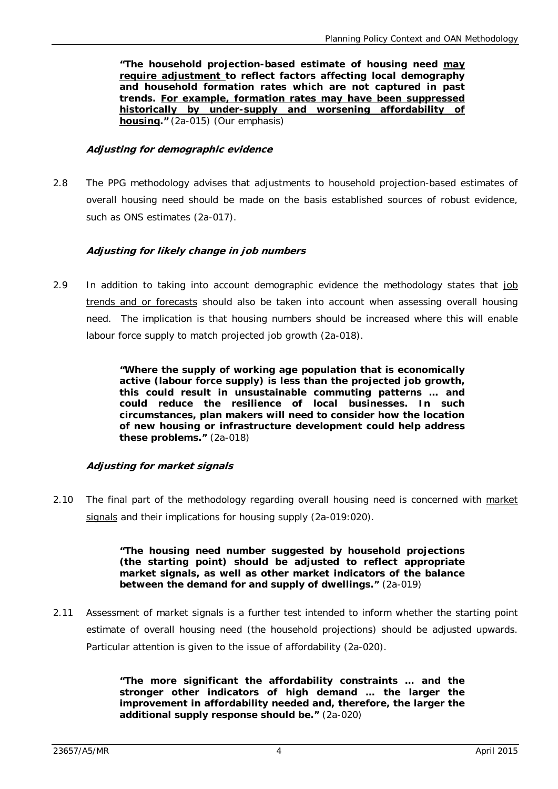**"The household projection-based estimate of housing need may require adjustment to reflect factors affecting local demography and household formation rates which are not captured in past trends. For example, formation rates may have been suppressed historically by under-supply and worsening affordability of housing."** (2a-015) (Our emphasis)

#### **Adjusting for demographic evidence**

2.8 The PPG methodology advises that adjustments to household projection-based estimates of overall housing need should be made on the basis established sources of robust evidence, such as ONS estimates (2a-017).

#### **Adjusting for likely change in job numbers**

2.9 In addition to taking into account demographic evidence the methodology states that job trends and or forecasts should also be taken into account when assessing overall housing need. The implication is that housing numbers should be increased where this will enable labour force supply to match projected job growth (2a-018).

> **"Where the supply of working age population that is economically active (labour force supply) is less than the projected job growth, this could result in unsustainable commuting patterns … and could reduce the resilience of local businesses. In such circumstances, plan makers will need to consider how the location of new housing or infrastructure development could help address these problems."** (2a-018)

#### **Adjusting for market signals**

2.10 The final part of the methodology regarding overall housing need is concerned with market signals and their implications for housing supply (2a-019:020).

> **"The housing need number suggested by household projections (the starting point) should be adjusted to reflect appropriate market signals, as well as other market indicators of the balance between the demand for and supply of dwellings."** (2a-019)

2.11 Assessment of market signals is a further test intended to inform whether the starting point estimate of overall housing need (the household projections) should be adjusted upwards. Particular attention is given to the issue of affordability (2a-020).

> **"The more significant the affordability constraints … and the stronger other indicators of high demand … the larger the improvement in affordability needed and, therefore, the larger the additional supply response should be."** (2a-020)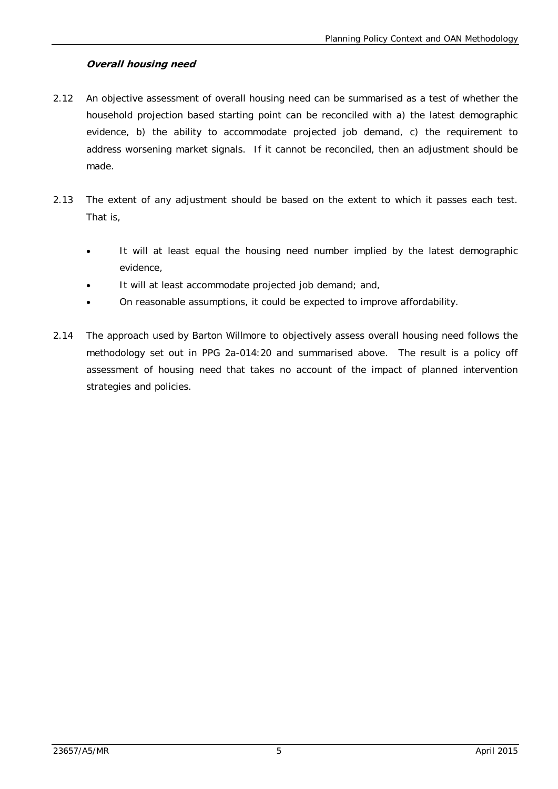## **Overall housing need**

- 2.12 An objective assessment of overall housing need can be summarised as a test of whether the household projection based starting point can be reconciled with a) the latest demographic evidence, b) the ability to accommodate projected job demand, c) the requirement to address worsening market signals. If it cannot be reconciled, then an adjustment should be made.
- 2.13 The extent of any adjustment should be based on the extent to which it passes each test. That is,
	- It will at least equal the housing need number implied by the latest demographic evidence,
	- It will at least accommodate projected job demand; and,
	- On reasonable assumptions, it could be expected to improve affordability.
- 2.14 The approach used by Barton Willmore to objectively assess overall housing need follows the methodology set out in PPG 2a-014:20 and summarised above. The result is a policy off assessment of housing need that takes no account of the impact of planned intervention strategies and policies.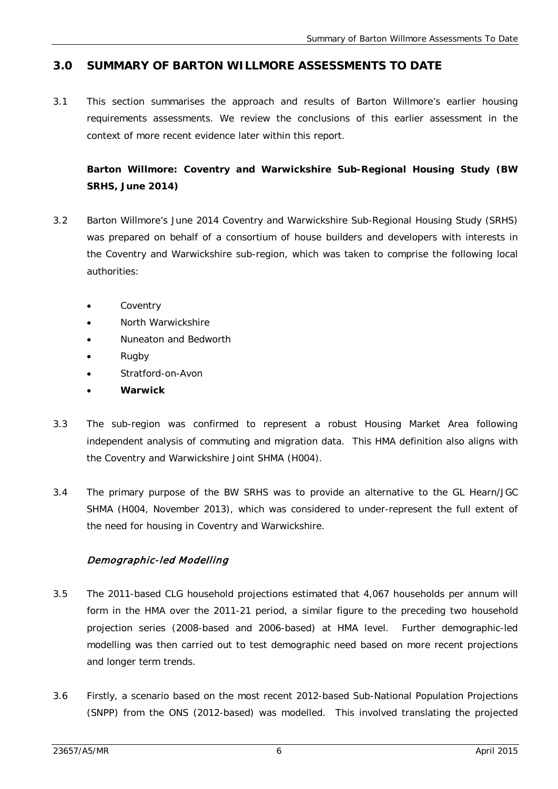# **3.0 SUMMARY OF BARTON WILLMORE ASSESSMENTS TO DATE**

3.1 This section summarises the approach and results of Barton Willmore's earlier housing requirements assessments. We review the conclusions of this earlier assessment in the context of more recent evidence later within this report.

**Barton Willmore: Coventry and Warwickshire Sub-Regional Housing Study (BW SRHS, June 2014)**

- 3.2 Barton Willmore's June 2014 Coventry and Warwickshire Sub-Regional Housing Study (SRHS) was prepared on behalf of a consortium of house builders and developers with interests in the Coventry and Warwickshire sub-region, which was taken to comprise the following local authorities:
	- **Coventry**
	- North Warwickshire
	- Nuneaton and Bedworth
	- Rugby
	- Stratford-on-Avon
	- **Warwick**
- 3.3 The sub-region was confirmed to represent a robust Housing Market Area following independent analysis of commuting and migration data. This HMA definition also aligns with the Coventry and Warwickshire Joint SHMA (H004).
- 3.4 The primary purpose of the BW SRHS was to provide an alternative to the GL Hearn/JGC SHMA (H004, November 2013), which was considered to under-represent the full extent of the need for housing in Coventry and Warwickshire.

# Demographic -led Modelling

- 3.5 The 2011-based CLG household projections estimated that 4,067 households per annum will form in the HMA over the 2011-21 period, a similar figure to the preceding two household projection series (2008-based and 2006-based) at HMA level. Further demographic-led modelling was then carried out to test demographic need based on more recent projections and longer term trends.
- 3.6 Firstly, a scenario based on the most recent 2012-based Sub-National Population Projections (SNPP) from the ONS (2012-based) was modelled. This involved translating the projected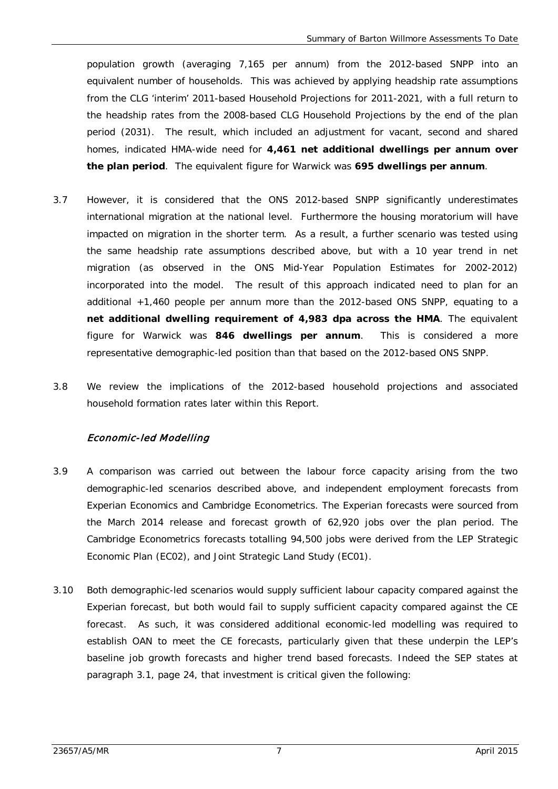population growth (averaging 7,165 per annum) from the 2012-based SNPP into an equivalent number of households. This was achieved by applying headship rate assumptions from the CLG 'interim' 2011-based Household Projections for 2011-2021, with a full return to the headship rates from the 2008-based CLG Household Projections by the end of the plan period (2031). The result, which included an adjustment for vacant, second and shared homes, indicated HMA-wide need for **4,461 net additional dwellings per annum over the plan period**. The equivalent figure for Warwick was **695 dwellings per annum**.

- 3.7 However, it is considered that the ONS 2012-based SNPP significantly underestimates international migration at the national level. Furthermore the housing moratorium will have impacted on migration in the shorter term. As a result, a further scenario was tested using the same headship rate assumptions described above, but with a 10 year trend in net migration (as observed in the ONS Mid-Year Population Estimates for 2002-2012) incorporated into the model. The result of this approach indicated need to plan for an additional +1,460 people per annum more than the 2012-based ONS SNPP, equating to a **net additional dwelling requirement of 4,983 dpa across the HMA**. The equivalent figure for Warwick was **846 dwellings per annum**. This is considered a more representative demographic-led position than that based on the 2012-based ONS SNPP.
- 3.8 We review the implications of the 2012-based household projections and associated household formation rates later within this Report.

## Economic -led Modelling

- 3.9 A comparison was carried out between the labour force capacity arising from the two demographic-led scenarios described above, and independent employment forecasts from Experian Economics and Cambridge Econometrics. The Experian forecasts were sourced from the March 2014 release and forecast growth of 62,920 jobs over the plan period. The Cambridge Econometrics forecasts totalling 94,500 jobs were derived from the LEP Strategic Economic Plan (EC02), and Joint Strategic Land Study (EC01).
- 3.10 Both demographic-led scenarios would supply sufficient labour capacity compared against the Experian forecast, but both would fail to supply sufficient capacity compared against the CE forecast. As such, it was considered additional economic-led modelling was required to establish OAN to meet the CE forecasts, particularly given that these underpin the LEP's baseline job growth forecasts and higher trend based forecasts. Indeed the SEP states at paragraph 3.1, page 24, that investment is critical given the following: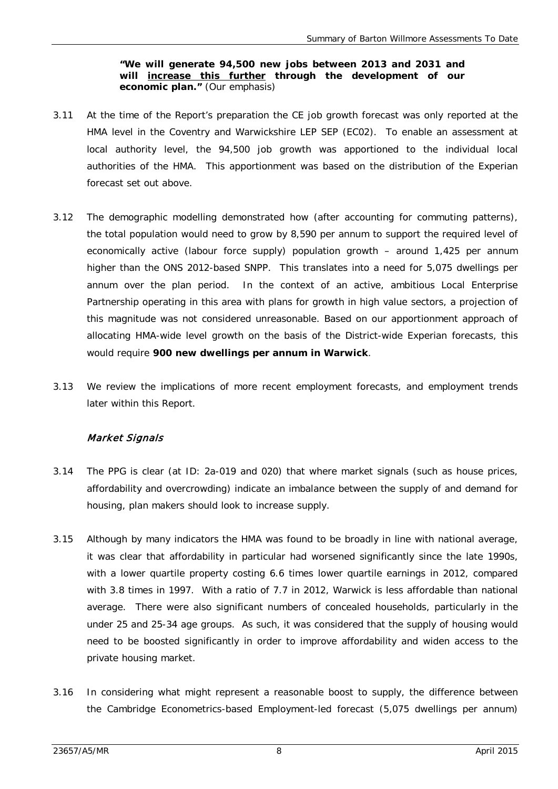#### **"We will generate 94,500 new jobs between 2013 and 2031 and will increase this further through the development of our economic plan."** (Our emphasis)

- 3.11 At the time of the Report's preparation the CE job growth forecast was only reported at the HMA level in the Coventry and Warwickshire LEP SEP (EC02). To enable an assessment at local authority level, the 94,500 job growth was apportioned to the individual local authorities of the HMA. This apportionment was based on the distribution of the Experian forecast set out above.
- 3.12 The demographic modelling demonstrated how (after accounting for commuting patterns), the total population would need to grow by 8,590 per annum to support the required level of economically active (labour force supply) population growth – around 1,425 per annum higher than the ONS 2012-based SNPP. This translates into a need for 5,075 dwellings per annum over the plan period. In the context of an active, ambitious Local Enterprise Partnership operating in this area with plans for growth in high value sectors, a projection of this magnitude was not considered unreasonable. Based on our apportionment approach of allocating HMA-wide level growth on the basis of the District-wide Experian forecasts, this would require **900 new dwellings per annum in Warwick**.
- 3.13 We review the implications of more recent employment forecasts, and employment trends later within this Report.

# Market Signals

- 3.14 The PPG is clear (at ID: 2a-019 and 020) that where market signals (such as house prices, affordability and overcrowding) indicate an imbalance between the supply of and demand for housing, plan makers should look to increase supply.
- 3.15 Although by many indicators the HMA was found to be broadly in line with national average, it was clear that affordability in particular had worsened significantly since the late 1990s, with a lower quartile property costing 6.6 times lower quartile earnings in 2012, compared with 3.8 times in 1997. With a ratio of 7.7 in 2012, Warwick is less affordable than national average. There were also significant numbers of concealed households, particularly in the under 25 and 25-34 age groups. As such, it was considered that the supply of housing would need to be boosted significantly in order to improve affordability and widen access to the private housing market.
- 3.16 In considering what might represent a reasonable boost to supply, the difference between the Cambridge Econometrics-based Employment-led forecast (5,075 dwellings per annum)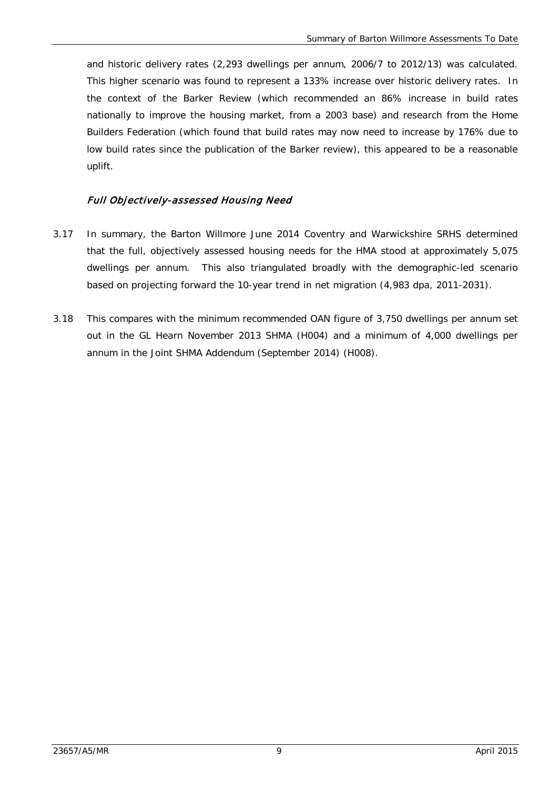and historic delivery rates (2,293 dwellings per annum, 2006/7 to 2012/13) was calculated. This higher scenario was found to represent a 133% increase over historic delivery rates. In the context of the Barker Review (which recommended an 86% increase in build rates nationally to improve the housing market, from a 2003 base) and research from the Home Builders Federation (which found that build rates may now need to increase by 176% due to low build rates since the publication of the Barker review), this appeared to be a reasonable uplift.

## Full Objectively -assessed Housing Need

- 3.17 In summary, the Barton Willmore June 2014 Coventry and Warwickshire SRHS determined that the full, objectively assessed housing needs for the HMA stood at approximately 5,075 dwellings per annum. This also triangulated broadly with the demographic-led scenario based on projecting forward the 10-year trend in net migration (4,983 dpa, 2011-2031).
- 3.18 This compares with the minimum recommended OAN figure of 3,750 dwellings per annum set out in the GL Hearn November 2013 SHMA (H004) and a minimum of 4,000 dwellings per annum in the Joint SHMA Addendum (September 2014) (H008).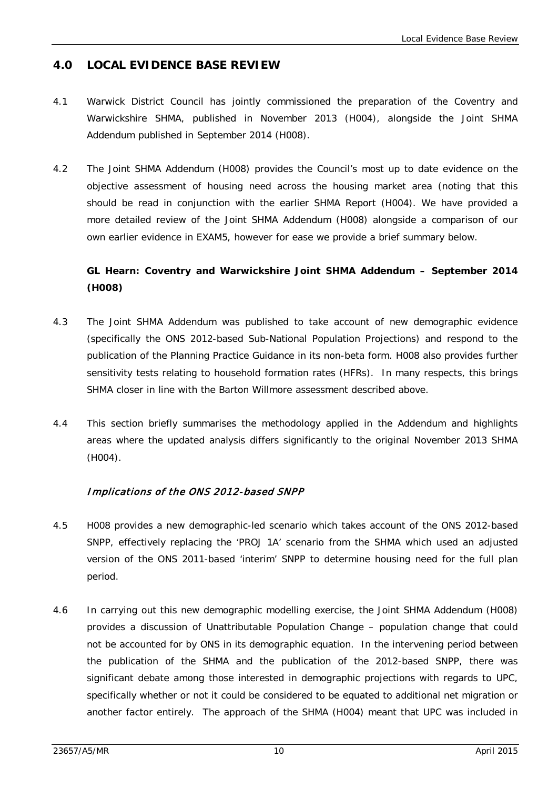# **4.0 LOCAL EVIDENCE BASE REVIEW**

- 4.1 Warwick District Council has jointly commissioned the preparation of the Coventry and Warwickshire SHMA, published in November 2013 (H004), alongside the Joint SHMA Addendum published in September 2014 (H008).
- 4.2 The Joint SHMA Addendum (H008) provides the Council's most up to date evidence on the objective assessment of housing need across the housing market area (noting that this should be read in conjunction with the earlier SHMA Report (H004). We have provided a more detailed review of the Joint SHMA Addendum (H008) alongside a comparison of our own earlier evidence in EXAM5, however for ease we provide a brief summary below.

# **GL Hearn: Coventry and Warwickshire Joint SHMA Addendum – September 2014 (H008)**

- 4.3 The Joint SHMA Addendum was published to take account of new demographic evidence (specifically the ONS 2012-based Sub-National Population Projections) and respond to the publication of the Planning Practice Guidance in its non-beta form. H008 also provides further sensitivity tests relating to household formation rates (HFRs). In many respects, this brings SHMA closer in line with the Barton Willmore assessment described above.
- 4.4 This section briefly summarises the methodology applied in the Addendum and highlights areas where the updated analysis differs significantly to the original November 2013 SHMA (H004).

# Implications of the ONS 2012 -based SNPP

- 4.5 H008 provides a new demographic-led scenario which takes account of the ONS 2012-based SNPP, effectively replacing the 'PROJ 1A' scenario from the SHMA which used an adjusted version of the ONS 2011-based 'interim' SNPP to determine housing need for the full plan period.
- 4.6 In carrying out this new demographic modelling exercise, the Joint SHMA Addendum (H008) provides a discussion of Unattributable Population Change – population change that could not be accounted for by ONS in its demographic equation. In the intervening period between the publication of the SHMA and the publication of the 2012-based SNPP, there was significant debate among those interested in demographic projections with regards to UPC, specifically whether or not it could be considered to be equated to additional net migration or another factor entirely. The approach of the SHMA (H004) meant that UPC was included in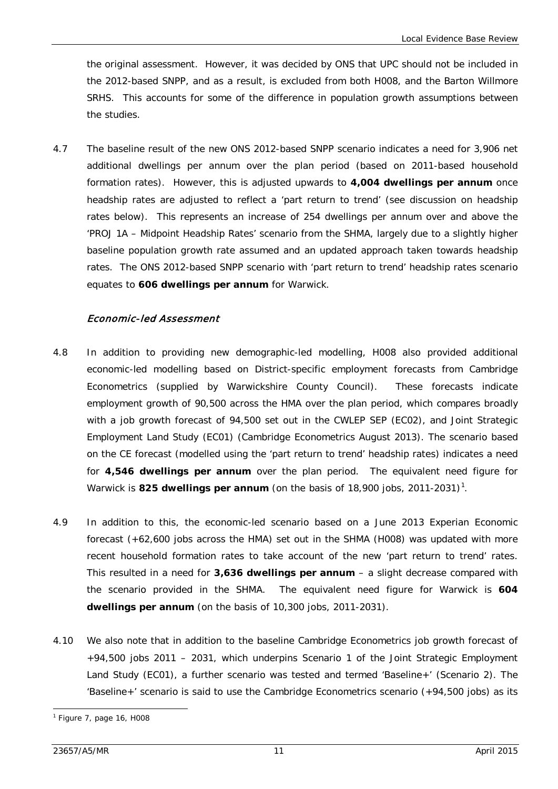the original assessment. However, it was decided by ONS that UPC should not be included in the 2012-based SNPP, and as a result, is excluded from both H008, and the Barton Willmore SRHS. This accounts for some of the difference in population growth assumptions between the studies.

4.7 The baseline result of the new ONS 2012-based SNPP scenario indicates a need for 3,906 net additional dwellings per annum over the plan period (based on 2011-based household formation rates). However, this is adjusted upwards to **4,004 dwellings per annum** once headship rates are adjusted to reflect a 'part return to trend' (see discussion on headship rates below). This represents an increase of 254 dwellings per annum over and above the 'PROJ 1A – Midpoint Headship Rates' scenario from the SHMA, largely due to a slightly higher baseline population growth rate assumed and an updated approach taken towards headship rates. The ONS 2012-based SNPP scenario with 'part return to trend' headship rates scenario equates to **606 dwellings per annum** for Warwick.

#### Economic -led Assessment

- 4.8 In addition to providing new demographic-led modelling, H008 also provided additional economic-led modelling based on District-specific employment forecasts from Cambridge Econometrics (supplied by Warwickshire County Council). These forecasts indicate employment growth of 90,500 across the HMA over the plan period, which compares broadly with a job growth forecast of 94,500 set out in the CWLEP SEP (EC02), and Joint Strategic Employment Land Study (EC01) (Cambridge Econometrics August 2013). The scenario based on the CE forecast (modelled using the 'part return to trend' headship rates) indicates a need for **4,546 dwellings per annum** over the plan period. The equivalent need figure for Warwick is **825 dwellings per annum** (on the basis of [1](#page-23-0)8,900 jobs, 2011-2031)<sup>1</sup>.
- 4.9 In addition to this, the economic-led scenario based on a June 2013 Experian Economic forecast (+62,600 jobs across the HMA) set out in the SHMA (H008) was updated with more recent household formation rates to take account of the new 'part return to trend' rates. This resulted in a need for **3,636 dwellings per annum** – a slight decrease compared with the scenario provided in the SHMA. The equivalent need figure for Warwick is **604 dwellings per annum** (on the basis of 10,300 jobs, 2011-2031).
- 4.10 We also note that in addition to the baseline Cambridge Econometrics job growth forecast of +94,500 jobs 2011 – 2031, which underpins Scenario 1 of the Joint Strategic Employment Land Study (EC01), a further scenario was tested and termed 'Baseline+' (Scenario 2). The 'Baseline+' scenario is said to use the Cambridge Econometrics scenario (+94,500 jobs) as its

<span id="page-23-0"></span><sup>1</sup> Figure 7, page 16, H008 -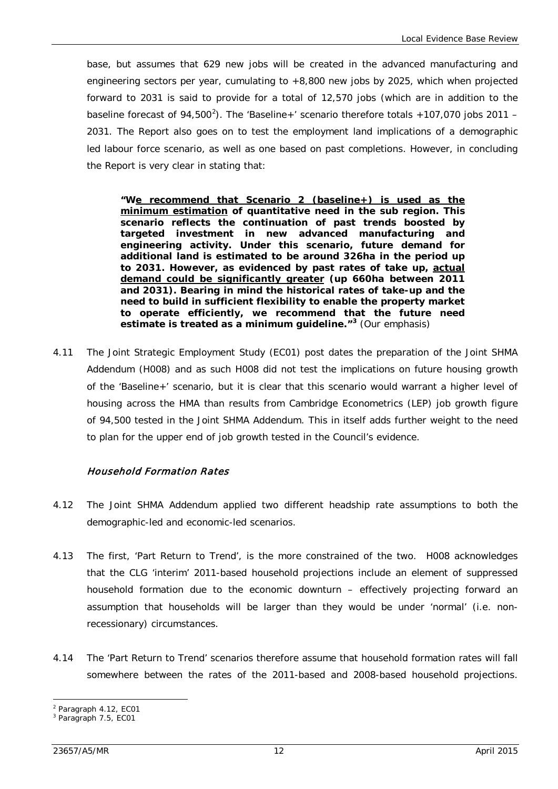base, but assumes that 629 new jobs will be created in the advanced manufacturing and engineering sectors per year, cumulating to +8,800 new jobs by 2025, which when projected forward to 2031 is said to provide for a total of 12,570 jobs (which are in addition to the baseline forecast of 94,500<sup>[2](#page-24-0)</sup>). The 'Baseline+' scenario therefore totals +107,070 jobs 2011 -2031. The Report also goes on to test the employment land implications of a demographic led labour force scenario, as well as one based on past completions. However, in concluding the Report is very clear in stating that:

**"We recommend that Scenario 2 (baseline+) is used as the minimum estimation of quantitative need in the sub region. This scenario reflects the continuation of past trends boosted by targeted investment in new advanced manufacturing and engineering activity. Under this scenario, future demand for additional land is estimated to be around 326ha in the period up to 2031. However, as evidenced by past rates of take up, actual demand could be significantly greater (up 660ha between 2011 and 2031). Bearing in mind the historical rates of take-up and the need to build in sufficient flexibility to enable the property market to operate efficiently, we recommend that the future need estimate is treated as a minimum guideline."[3](#page-24-1)** (Our emphasis)

4.11 The Joint Strategic Employment Study (EC01) post dates the preparation of the Joint SHMA Addendum (H008) and as such H008 did not test the implications on future housing growth of the 'Baseline+' scenario, but it is clear that this scenario would warrant a higher level of housing across the HMA than results from Cambridge Econometrics (LEP) job growth figure of 94,500 tested in the Joint SHMA Addendum. This in itself adds further weight to the need to plan for the upper end of job growth tested in the Council's evidence.

## Household Formation Rates

- 4.12 The Joint SHMA Addendum applied two different headship rate assumptions to both the demographic-led and economic-led scenarios.
- 4.13 The first, 'Part Return to Trend', is the more constrained of the two. H008 acknowledges that the CLG 'interim' 2011-based household projections include an element of suppressed household formation due to the economic downturn – effectively projecting forward an assumption that households will be larger than they would be under 'normal' (i.e. nonrecessionary) circumstances.
- 4.14 The 'Part Return to Trend' scenarios therefore assume that household formation rates will fall somewhere between the rates of the 2011-based and 2008-based household projections.

<sup>2</sup> Paragraph 4.12, EC01 -

<span id="page-24-1"></span><span id="page-24-0"></span><sup>3</sup> Paragraph 7.5, EC01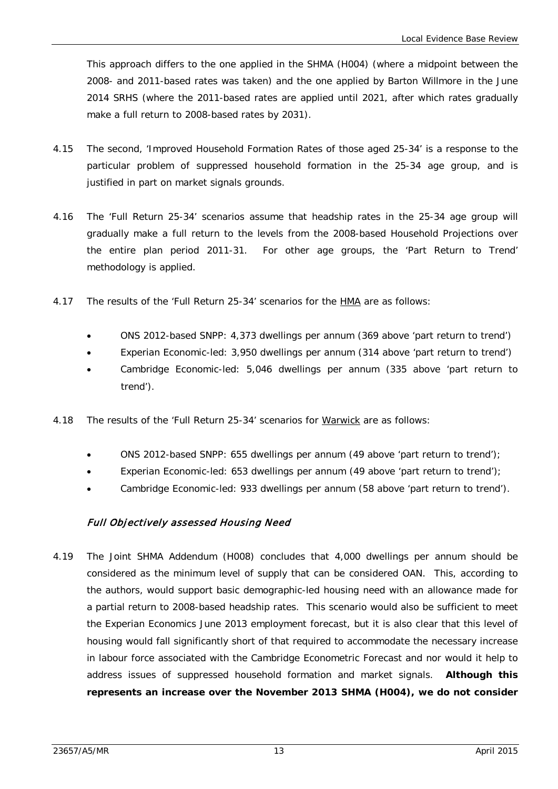This approach differs to the one applied in the SHMA (H004) (where a midpoint between the 2008- and 2011-based rates was taken) and the one applied by Barton Willmore in the June 2014 SRHS (where the 2011-based rates are applied until 2021, after which rates gradually make a full return to 2008-based rates by 2031).

- 4.15 The second, 'Improved Household Formation Rates of those aged 25-34' is a response to the particular problem of suppressed household formation in the 25-34 age group, and is justified in part on market signals grounds.
- 4.16 The 'Full Return 25-34' scenarios assume that headship rates in the 25-34 age group will gradually make a full return to the levels from the 2008-based Household Projections over the entire plan period 2011-31. For other age groups, the 'Part Return to Trend' methodology is applied.
- 4.17 The results of the 'Full Return 25-34' scenarios for the **HMA** are as follows:
	- ONS 2012-based SNPP: 4,373 dwellings per annum (369 above 'part return to trend')
	- Experian Economic-led: 3,950 dwellings per annum (314 above 'part return to trend')
	- Cambridge Economic-led: 5,046 dwellings per annum (335 above 'part return to trend').
- 4.18 The results of the 'Full Return 25-34' scenarios for Warwick are as follows:
	- ONS 2012-based SNPP: 655 dwellings per annum (49 above 'part return to trend');
	- Experian Economic-led: 653 dwellings per annum (49 above 'part return to trend');
	- Cambridge Economic-led: 933 dwellings per annum (58 above 'part return to trend').

## Full Objectively assessed Housing Need

4.19 The Joint SHMA Addendum (H008) concludes that 4,000 dwellings per annum should be considered as the minimum level of supply that can be considered OAN. This, according to the authors, would support basic demographic-led housing need with an allowance made for a partial return to 2008-based headship rates. This scenario would also be sufficient to meet the Experian Economics June 2013 employment forecast, but it is also clear that this level of housing would fall significantly short of that required to accommodate the necessary increase in labour force associated with the Cambridge Econometric Forecast and nor would it help to address issues of suppressed household formation and market signals. **Although this represents an increase over the November 2013 SHMA (H004), we do not consider**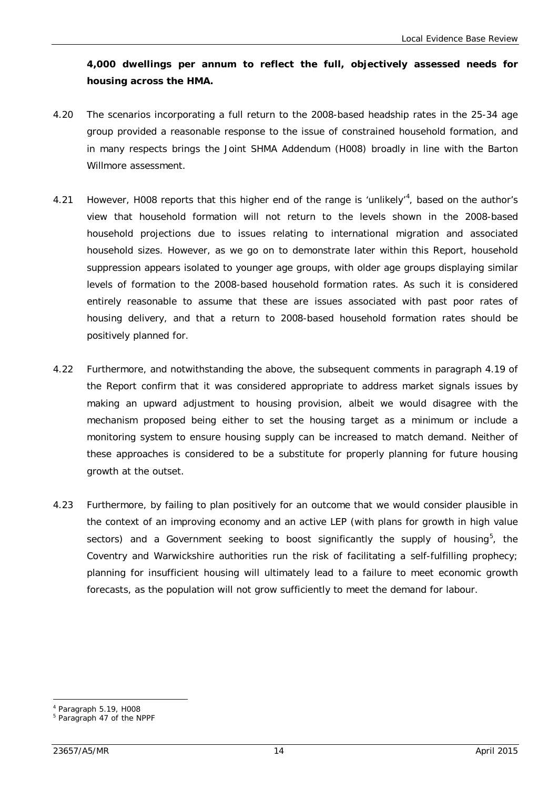**4,000 dwellings per annum to reflect the full, objectively assessed needs for housing across the HMA.**

- 4.20 The scenarios incorporating a full return to the 2008-based headship rates in the 25-34 age group provided a reasonable response to the issue of constrained household formation, and in many respects brings the Joint SHMA Addendum (H008) broadly in line with the Barton Willmore assessment.
- [4](#page-26-0).21 However, H008 reports that this higher end of the range is 'unlikely'<sup>4</sup>, based on the author's view that household formation will not return to the levels shown in the 2008-based household projections due to issues relating to international migration and associated household sizes. However, as we go on to demonstrate later within this Report, household suppression appears isolated to younger age groups, with older age groups displaying similar levels of formation to the 2008-based household formation rates. As such it is considered entirely reasonable to assume that these are issues associated with past poor rates of housing delivery, and that a return to 2008-based household formation rates should be positively planned for.
- 4.22 Furthermore, and notwithstanding the above, the subsequent comments in paragraph 4.19 of the Report confirm that it was considered appropriate to address market signals issues by making an upward adjustment to housing provision, albeit we would disagree with the mechanism proposed being either to set the housing target as a minimum or include a monitoring system to ensure housing supply can be increased to match demand. Neither of these approaches is considered to be a substitute for properly planning for future housing growth at the outset.
- 4.23 Furthermore, by failing to plan positively for an outcome that we would consider plausible in the context of an improving economy and an active LEP (with plans for growth in high value sectors) and a Government seeking to boost significantly the supply of housing<sup>[5](#page-26-1)</sup>, the Coventry and Warwickshire authorities run the risk of facilitating a self-fulfilling prophecy; planning for insufficient housing will ultimately lead to a failure to meet economic growth forecasts, as the population will not grow sufficiently to meet the demand for labour.

<sup>4</sup> Paragraph 5.19, H008 -

<span id="page-26-1"></span><span id="page-26-0"></span><sup>5</sup> Paragraph 47 of the NPPF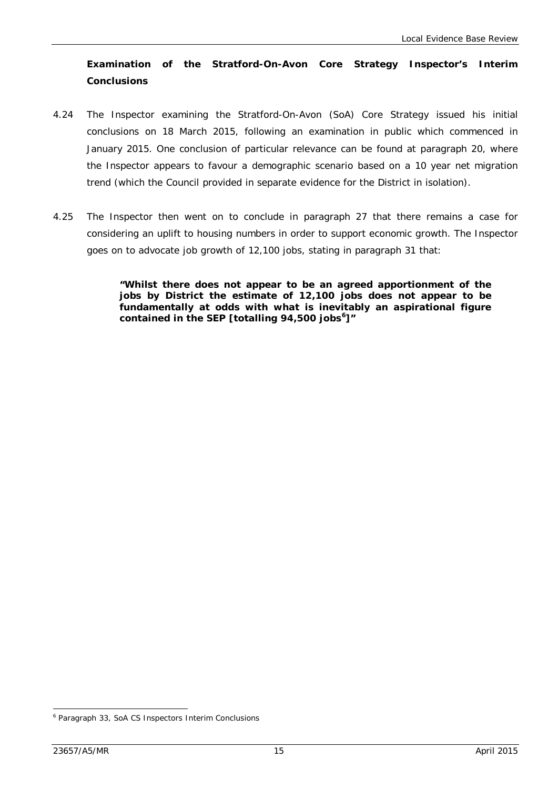# **Examination of the Stratford-On-Avon Core Strategy Inspector's Interim Conclusions**

- 4.24 The Inspector examining the Stratford-On-Avon (SoA) Core Strategy issued his initial conclusions on 18 March 2015, following an examination in public which commenced in January 2015. One conclusion of particular relevance can be found at paragraph 20, where the Inspector appears to favour a demographic scenario based on a 10 year net migration trend (which the Council provided in separate evidence for the District in isolation).
- 4.25 The Inspector then went on to conclude in paragraph 27 that there remains a case for considering an uplift to housing numbers in order to support economic growth. The Inspector goes on to advocate job growth of 12,100 jobs, stating in paragraph 31 that:

**"Whilst there does not appear to be an agreed apportionment of the jobs by District the estimate of 12,100 jobs does not appear to be fundamentally at odds with what is inevitably an aspirational figure contained in the SEP [totalling 94,500 jobs [6](#page-27-0) ]"**

-

<span id="page-27-0"></span><sup>6</sup> Paragraph 33, SoA CS Inspectors Interim Conclusions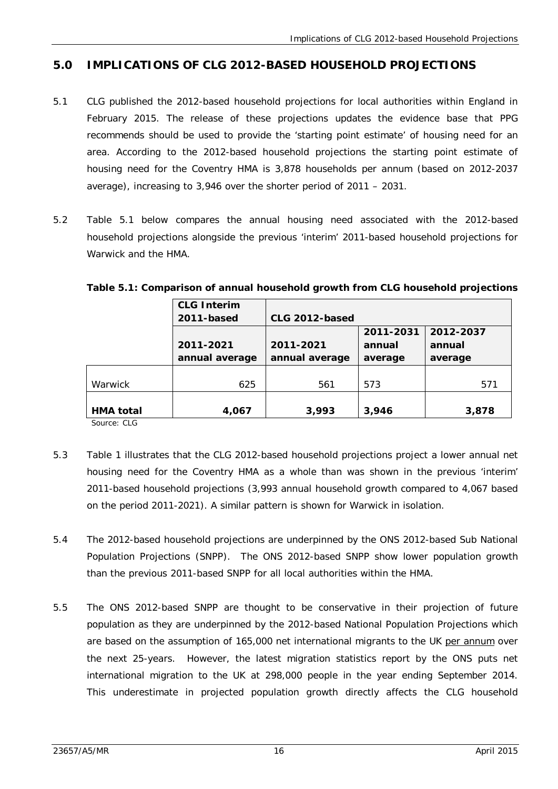# **5.0 IMPLICATIONS OF CLG 2012-BASED HOUSEHOLD PROJECTIONS**

- 5.1 CLG published the 2012-based household projections for local authorities within England in February 2015. The release of these projections updates the evidence base that PPG recommends should be used to provide the 'starting point estimate' of housing need for an area. According to the 2012-based household projections the starting point estimate of housing need for the Coventry HMA is 3,878 households per annum (based on 2012-2037 average), increasing to 3,946 over the shorter period of 2011 – 2031.
- 5.2 Table 5.1 below compares the annual housing need associated with the 2012-based household projections alongside the previous 'interim' 2011-based household projections for Warwick and the HMA.

|                  | <b>CLG Interim</b> |                |           |           |
|------------------|--------------------|----------------|-----------|-----------|
|                  | 2011-based         | CLG 2012-based |           |           |
|                  |                    |                | 2011-2031 | 2012-2037 |
|                  | 2011-2021          | 2011-2021      | annual    | annual    |
|                  | annual average     | annual average | average   | average   |
|                  |                    |                |           |           |
| Warwick          | 625                | 561            | 573       | 571       |
|                  |                    |                |           |           |
| <b>HMA</b> total | 4,067              | 3,993          | 3,946     | 3,878     |

#### **Table 5.1: Comparison of annual household growth from CLG household projections**

Source: CLG

- 5.3 Table 1 illustrates that the CLG 2012-based household projections project a lower annual net housing need for the Coventry HMA as a whole than was shown in the previous 'interim' 2011-based household projections (3,993 annual household growth compared to 4,067 based on the period 2011-2021). A similar pattern is shown for Warwick in isolation.
- 5.4 The 2012-based household projections are underpinned by the ONS 2012-based Sub National Population Projections (SNPP). The ONS 2012-based SNPP show lower population growth than the previous 2011-based SNPP for all local authorities within the HMA.
- 5.5 The ONS 2012-based SNPP are thought to be conservative in their projection of future population as they are underpinned by the 2012-based National Population Projections which are based on the assumption of 165,000 net international migrants to the UK per annum over the next 25-years. However, the latest migration statistics report by the ONS puts net international migration to the UK at 298,000 people in the year ending September 2014. This underestimate in projected population growth directly affects the CLG household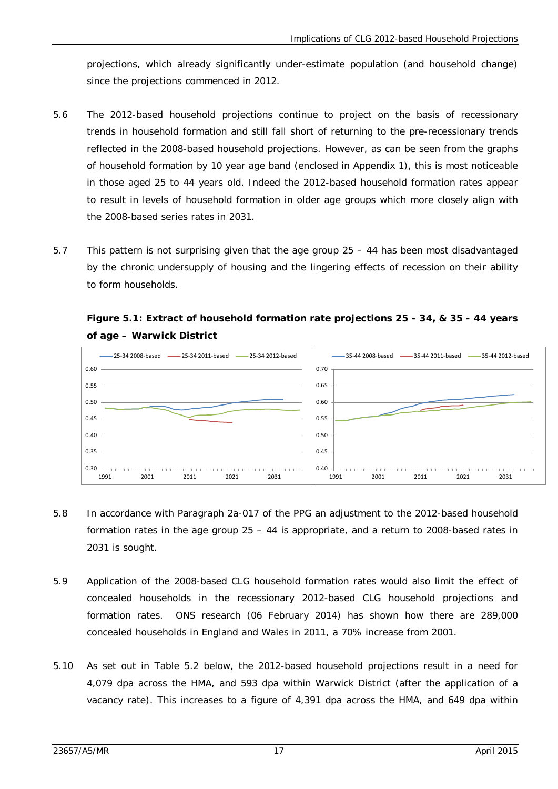projections, which already significantly under-estimate population (and household change) since the projections commenced in 2012.

- 5.6 The 2012-based household projections continue to project on the basis of recessionary trends in household formation and still fall short of returning to the pre-recessionary trends reflected in the 2008-based household projections. However, as can be seen from the graphs of household formation by 10 year age band (enclosed in Appendix 1), this is most noticeable in those aged 25 to 44 years old. Indeed the 2012-based household formation rates appear to result in levels of household formation in older age groups which more closely align with the 2008-based series rates in 2031.
- 5.7 This pattern is not surprising given that the age group 25 44 has been most disadvantaged by the chronic undersupply of housing and the lingering effects of recession on their ability to form households.



**Figure 5.1: Extract of household formation rate projections 25 - 34, & 35 - 44 years of age – Warwick District**

- 5.8 In accordance with Paragraph 2a-017 of the PPG an adjustment to the 2012-based household formation rates in the age group 25 – 44 is appropriate, and a return to 2008-based rates in 2031 is sought.
- 5.9 Application of the 2008-based CLG household formation rates would also limit the effect of concealed households in the recessionary 2012-based CLG household projections and formation rates. ONS research (06 February 2014) has shown how there are 289,000 concealed households in England and Wales in 2011, a 70% increase from 2001.
- 5.10 As set out in Table 5.2 below, the 2012-based household projections result in a need for 4,079 dpa across the HMA, and 593 dpa within Warwick District (after the application of a vacancy rate). This increases to a figure of 4,391 dpa across the HMA, and 649 dpa within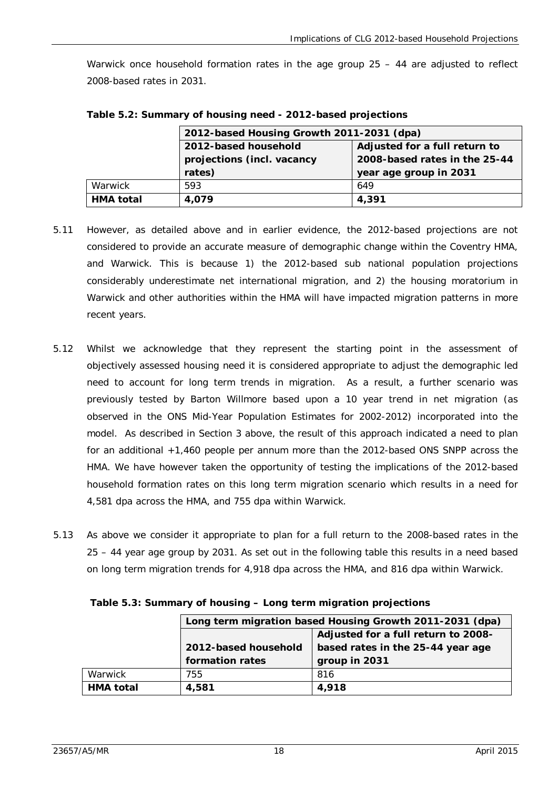Warwick once household formation rates in the age group 25 – 44 are adjusted to reflect 2008-based rates in 2031.

|                  | 2012-based Housing Growth 2011-2031 (dpa)                   |     |  |  |
|------------------|-------------------------------------------------------------|-----|--|--|
|                  | 2012-based household<br>Adjusted for a full return to       |     |  |  |
|                  | 2008-based rates in the 25-44<br>projections (incl. vacancy |     |  |  |
|                  | rates)<br>year age group in 2031                            |     |  |  |
| Warwick          | 593                                                         | 649 |  |  |
| <b>HMA</b> total | 4,391<br>4.079                                              |     |  |  |

**Table 5.2: Summary of housing need - 2012-based projections**

- 5.11 However, as detailed above and in earlier evidence, the 2012-based projections are not considered to provide an accurate measure of demographic change within the Coventry HMA, and Warwick. This is because 1) the 2012-based sub national population projections considerably underestimate net international migration, and 2) the housing moratorium in Warwick and other authorities within the HMA will have impacted migration patterns in more recent years.
- 5.12 Whilst we acknowledge that they represent the starting point in the assessment of objectively assessed housing need it is considered appropriate to adjust the demographic led need to account for long term trends in migration. As a result, a further scenario was previously tested by Barton Willmore based upon a 10 year trend in net migration (as observed in the ONS Mid-Year Population Estimates for 2002-2012) incorporated into the model. As described in Section 3 above, the result of this approach indicated a need to plan for an additional +1,460 people per annum more than the 2012-based ONS SNPP across the HMA. We have however taken the opportunity of testing the implications of the 2012-based household formation rates on this long term migration scenario which results in a need for 4,581 dpa across the HMA, and 755 dpa within Warwick.
- 5.13 As above we consider it appropriate to plan for a full return to the 2008-based rates in the 25 – 44 year age group by 2031. As set out in the following table this results in a need based on long term migration trends for 4,918 dpa across the HMA, and 816 dpa within Warwick.

|           | Long term migration based Housing Growth 2011-2031 (dpa)  |  |  |  |
|-----------|-----------------------------------------------------------|--|--|--|
|           | Adjusted for a full return to 2008-                       |  |  |  |
|           | based rates in the 25-44 year age<br>2012-based household |  |  |  |
|           | formation rates<br>group in 2031                          |  |  |  |
| Warwick   | 816<br>755                                                |  |  |  |
| HMA total | 4,581<br>4,918                                            |  |  |  |

**Table 5.3: Summary of housing – Long term migration projections**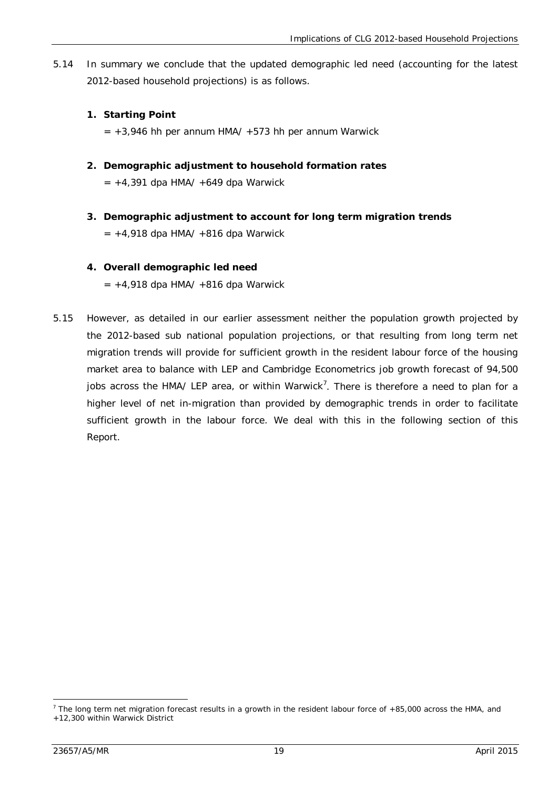5.14 In summary we conclude that the updated demographic led need (accounting for the latest 2012-based household projections) is as follows.

#### **1. Starting Point**

- $= +3.946$  hh per annum HMA/  $+573$  hh per annum Warwick
- **2. Demographic adjustment to household formation rates**   $= +4,391$  dpa HMA/  $+649$  dpa Warwick
- **3. Demographic adjustment to account for long term migration trends**  $= +4.918$  dpa HMA/  $+816$  dpa Warwick

#### **4. Overall demographic led need**

 $= +4,918$  dpa HMA/  $+816$  dpa Warwick

5.15 However, as detailed in our earlier assessment neither the population growth projected by the 2012-based sub national population projections, or that resulting from long term net migration trends will provide for sufficient growth in the resident labour force of the housing market area to balance with LEP and Cambridge Econometrics job growth forecast of 94,500 jobs across the HMA/ LEP area, or within Warwick<sup>[7](#page-31-0)</sup>. There is therefore a need to plan for a higher level of net in-migration than provided by demographic trends in order to facilitate sufficient growth in the labour force. We deal with this in the following section of this Report.

-

<span id="page-31-0"></span> $7$  The long term net migration forecast results in a growth in the resident labour force of +85,000 across the HMA, and +12,300 within Warwick District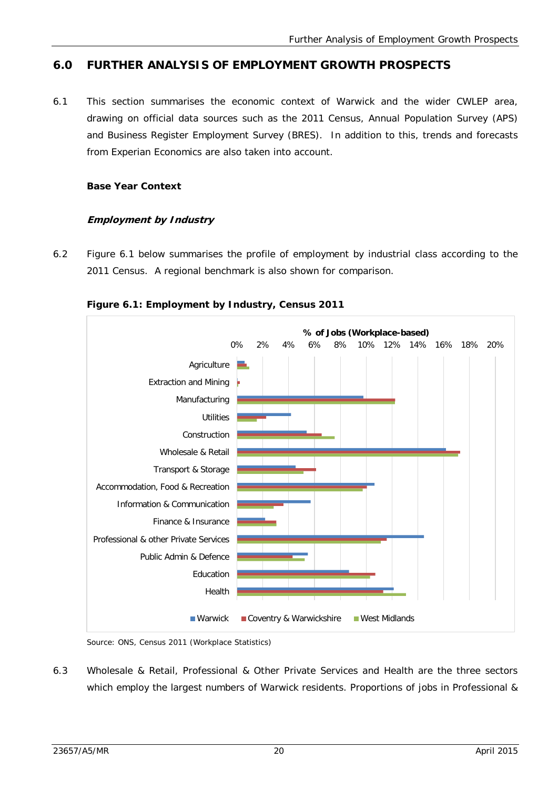# **6.0 FURTHER ANALYSIS OF EMPLOYMENT GROWTH PROSPECTS**

6.1 This section summarises the economic context of Warwick and the wider CWLEP area, drawing on official data sources such as the 2011 Census, Annual Population Survey (APS) and Business Register Employment Survey (BRES). In addition to this, trends and forecasts from Experian Economics are also taken into account.

#### **Base Year Context**

#### **Employment by Industry**

6.2 Figure 6.1 below summarises the profile of employment by industrial class according to the 2011 Census. A regional benchmark is also shown for comparison.



#### **Figure 6.1: Employment by Industry, Census 2011**

Source: ONS, Census 2011 (Workplace Statistics)

6.3 Wholesale & Retail, Professional & Other Private Services and Health are the three sectors which employ the largest numbers of Warwick residents. Proportions of jobs in Professional &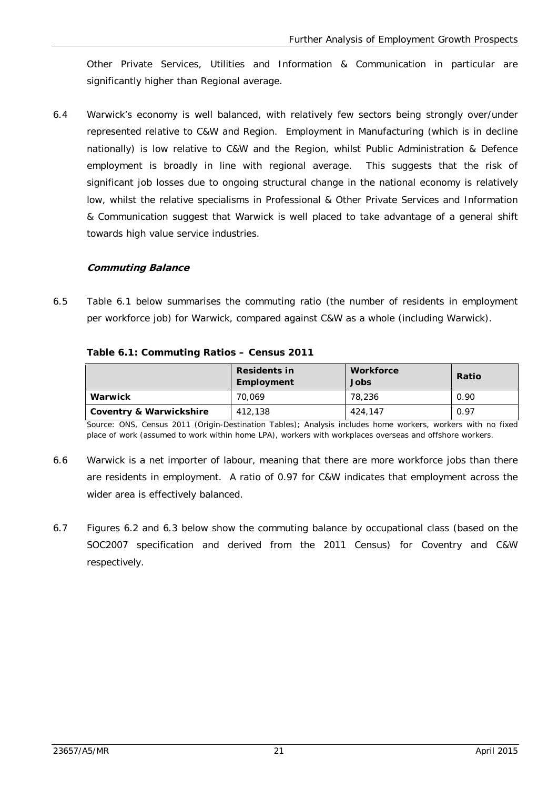Other Private Services, Utilities and Information & Communication in particular are significantly higher than Regional average.

6.4 Warwick's economy is well balanced, with relatively few sectors being strongly over/under represented relative to C&W and Region. Employment in Manufacturing (which is in decline nationally) is low relative to C&W and the Region, whilst Public Administration & Defence employment is broadly in line with regional average. This suggests that the risk of significant job losses due to ongoing structural change in the national economy is relatively low, whilst the relative specialisms in Professional & Other Private Services and Information & Communication suggest that Warwick is well placed to take advantage of a general shift towards high value service industries.

#### **Commuting Balance**

6.5 Table 6.1 below summarises the commuting ratio (the number of residents in employment per workforce job) for Warwick, compared against C&W as a whole (including Warwick).

|  | Table 6.1: Commuting Ratios - Census 2011 |  |  |
|--|-------------------------------------------|--|--|
|  |                                           |  |  |

|                         | <b>Workforce</b><br><b>Residents in</b><br>Jobs<br>Employment |         | Ratio |  |
|-------------------------|---------------------------------------------------------------|---------|-------|--|
| Warwick                 | 70.069                                                        | 78,236  | 0.90  |  |
| Coventry & Warwickshire | 412.138                                                       | 424,147 | 0.97  |  |

Source: ONS, Census 2011 (Origin-Destination Tables); Analysis includes home workers, workers with no fixed place of work (assumed to work within home LPA), workers with workplaces overseas and offshore workers.

- 6.6 Warwick is a net importer of labour, meaning that there are more workforce jobs than there are residents in employment. A ratio of 0.97 for C&W indicates that employment across the wider area is effectively balanced.
- 6.7 Figures 6.2 and 6.3 below show the commuting balance by occupational class (based on the SOC2007 specification and derived from the 2011 Census) for Coventry and C&W respectively.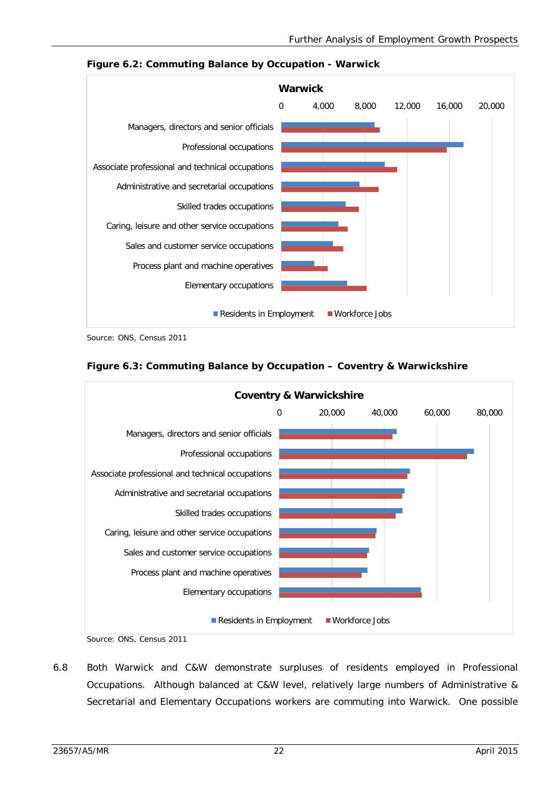

**Figure 6.2: Commuting Balance by Occupation - Warwick**

Source: ONS, Census 2011





Source: ONS, Census 2011

6.8 Both Warwick and C&W demonstrate surpluses of residents employed in Professional Occupations. Although balanced at C&W level, relatively large numbers of Administrative & Secretarial and Elementary Occupations workers are commuting into Warwick. One possible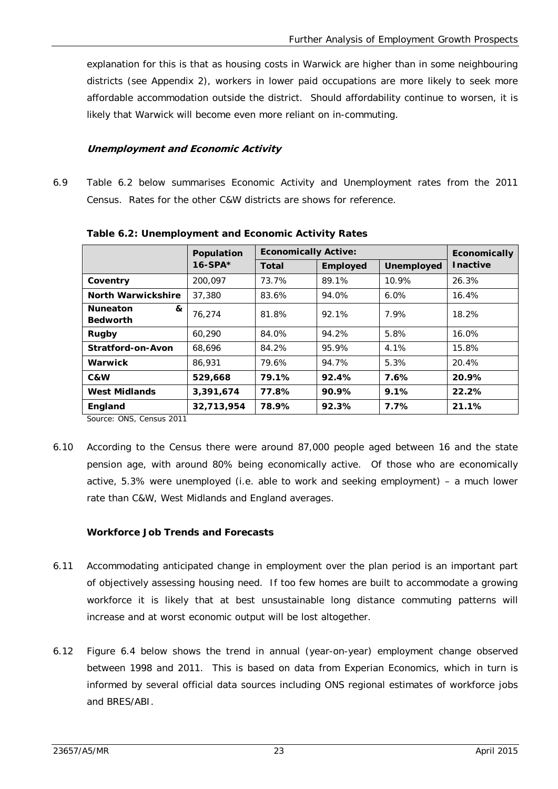explanation for this is that as housing costs in Warwick are higher than in some neighbouring districts (see Appendix 2), workers in lower paid occupations are more likely to seek more affordable accommodation outside the district. Should affordability continue to worsen, it is likely that Warwick will become even more reliant on in-commuting.

#### **Unemployment and Economic Activity**

6.9 Table 6.2 below summarises Economic Activity and Unemployment rates from the 2011 Census. Rates for the other C&W districts are shows for reference.

|                                         | Population | <b>Economically Active:</b> |                 |            | Economically    |
|-----------------------------------------|------------|-----------------------------|-----------------|------------|-----------------|
|                                         | $16-SPA*$  | Total                       | <b>Employed</b> | Unemployed | <b>Inactive</b> |
| Coventry                                | 200.097    | 73.7%                       | 89.1%           | 10.9%      | 26.3%           |
| North Warwickshire                      | 37,380     | 83.6%                       | 94.0%           | 6.0%       | 16.4%           |
| <b>Nuneaton</b><br>&<br><b>Bedworth</b> | 76.274     | 81.8%                       | 92.1%           | 7.9%       | 18.2%           |
| Rugby                                   | 60.290     | 84.0%                       | 94.2%           | 5.8%       | 16.0%           |
| Stratford-on-Avon                       | 68.696     | 84.2%                       | 95.9%           | 4.1%       | 15.8%           |
| Warwick                                 | 86,931     | 79.6%                       | 94.7%           | 5.3%       | 20.4%           |
| C&W                                     | 529,668    | 79.1%                       | 92.4%           | 7.6%       | 20.9%           |
| <b>West Midlands</b>                    | 3,391,674  | 77.8%                       | 90.9%           | 9.1%       | 22.2%           |
| England                                 | 32,713,954 | 78.9%                       | 92.3%           | 7.7%       | 21.1%           |

**Table 6.2: Unemployment and Economic Activity Rates**

Source: ONS, Census 2011

6.10 According to the Census there were around 87,000 people aged between 16 and the state pension age, with around 80% being economically active. Of those who are economically active, 5.3% were unemployed (i.e. able to work and seeking employment) – a much lower rate than C&W, West Midlands and England averages.

#### **Workforce Job Trends and Forecasts**

- 6.11 Accommodating anticipated change in employment over the plan period is an important part of objectively assessing housing need. If too few homes are built to accommodate a growing workforce it is likely that at best unsustainable long distance commuting patterns will increase and at worst economic output will be lost altogether.
- 6.12 Figure 6.4 below shows the trend in annual (year-on-year) employment change observed between 1998 and 2011. This is based on data from Experian Economics, which in turn is informed by several official data sources including ONS regional estimates of workforce jobs and BRES/ABI.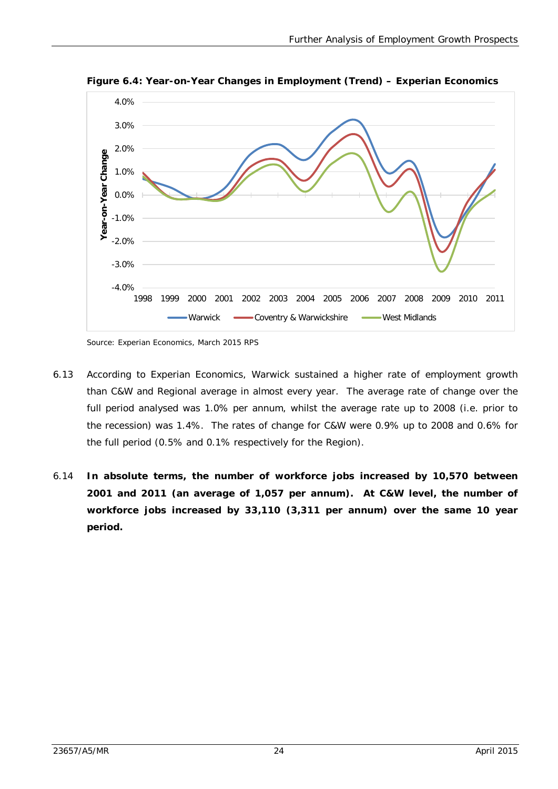

**Figure 6.4: Year-on-Year Changes in Employment (Trend) – Experian Economics**

Source: Experian Economics, March 2015 RPS

- 6.13 According to Experian Economics, Warwick sustained a higher rate of employment growth than C&W and Regional average in almost every year. The average rate of change over the full period analysed was 1.0% per annum, whilst the average rate up to 2008 (i.e. prior to the recession) was 1.4%. The rates of change for C&W were 0.9% up to 2008 and 0.6% for the full period (0.5% and 0.1% respectively for the Region).
- 6.14 **In absolute terms, the number of workforce jobs increased by 10,570 between 2001 and 2011 (an average of 1,057 per annum). At C&W level, the number of workforce jobs increased by 33,110 (3,311 per annum) over the same 10 year period.**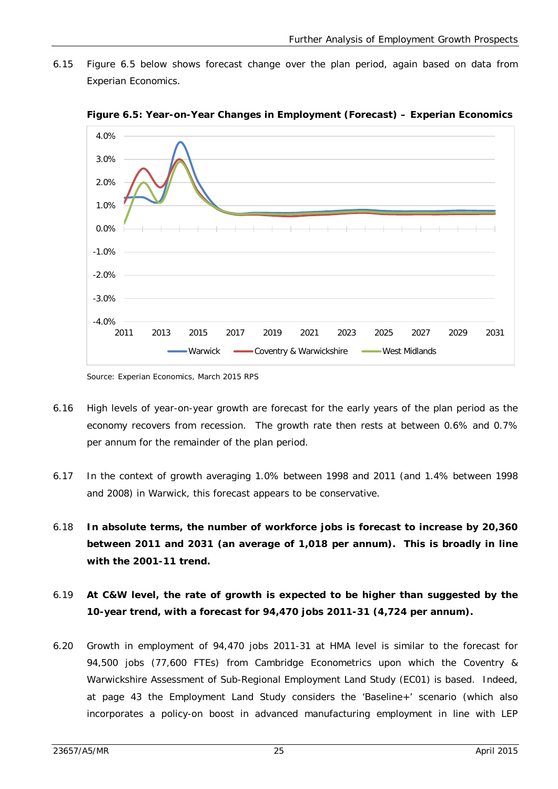6.15 Figure 6.5 below shows forecast change over the plan period, again based on data from Experian Economics.



**Figure 6.5: Year-on-Year Changes in Employment (Forecast) – Experian Economics**

- 6.16 High levels of year-on-year growth are forecast for the early years of the plan period as the economy recovers from recession. The growth rate then rests at between 0.6% and 0.7% per annum for the remainder of the plan period.
- 6.17 In the context of growth averaging 1.0% between 1998 and 2011 (and 1.4% between 1998 and 2008) in Warwick, this forecast appears to be conservative.
- 6.18 **In absolute terms, the number of workforce jobs is forecast to increase by 20,360 between 2011 and 2031 (an average of 1,018 per annum). This is broadly in line with the 2001-11 trend.**
- 6.19 **At C&W level, the rate of growth is expected to be higher than suggested by the 10-year trend, with a forecast for 94,470 jobs 2011-31 (4,724 per annum).**
- 6.20 Growth in employment of 94,470 jobs 2011-31 at HMA level is similar to the forecast for 94,500 jobs (77,600 FTEs) from Cambridge Econometrics upon which the Coventry & Warwickshire Assessment of Sub-Regional Employment Land Study (EC01) is based. Indeed, at page 43 the Employment Land Study considers the 'Baseline+' scenario (which also incorporates a policy-on boost in advanced manufacturing employment in line with LEP

Source: Experian Economics, March 2015 RPS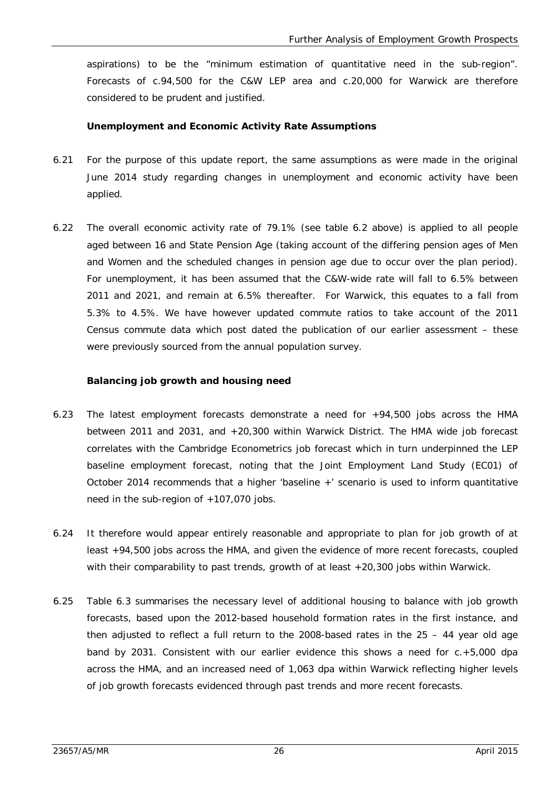aspirations) to be the "minimum estimation of quantitative need in the sub-region". Forecasts of c.94,500 for the C&W LEP area and c.20,000 for Warwick are therefore considered to be prudent and justified.

#### **Unemployment and Economic Activity Rate Assumptions**

- 6.21 For the purpose of this update report, the same assumptions as were made in the original June 2014 study regarding changes in unemployment and economic activity have been applied.
- 6.22 The overall economic activity rate of 79.1% (see table 6.2 above) is applied to all people aged between 16 and State Pension Age (taking account of the differing pension ages of Men and Women and the scheduled changes in pension age due to occur over the plan period). For unemployment, it has been assumed that the C&W-wide rate will fall to 6.5% between 2011 and 2021, and remain at 6.5% thereafter. For Warwick, this equates to a fall from 5.3% to 4.5%. We have however updated commute ratios to take account of the 2011 Census commute data which post dated the publication of our earlier assessment – these were previously sourced from the annual population survey.

#### **Balancing job growth and housing need**

- 6.23 The latest employment forecasts demonstrate a need for +94,500 jobs across the HMA between 2011 and 2031, and +20,300 within Warwick District. The HMA wide job forecast correlates with the Cambridge Econometrics job forecast which in turn underpinned the LEP baseline employment forecast, noting that the Joint Employment Land Study (EC01) of October 2014 recommends that a higher 'baseline +' scenario is used to inform quantitative need in the sub-region of  $+107,070$  jobs.
- 6.24 It therefore would appear entirely reasonable and appropriate to plan for job growth of at least +94,500 jobs across the HMA, and given the evidence of more recent forecasts, coupled with their comparability to past trends, growth of at least +20,300 jobs within Warwick.
- 6.25 Table 6.3 summarises the necessary level of additional housing to balance with job growth forecasts, based upon the 2012-based household formation rates in the first instance, and then adjusted to reflect a full return to the 2008-based rates in the 25 – 44 year old age band by 2031. Consistent with our earlier evidence this shows a need for c.+5,000 dpa across the HMA, and an increased need of 1,063 dpa within Warwick reflecting higher levels of job growth forecasts evidenced through past trends and more recent forecasts.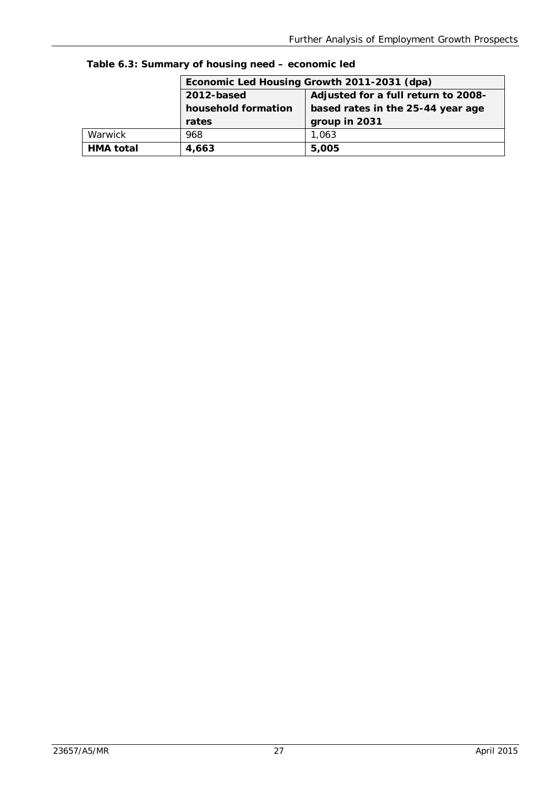|         |                                                          | Economic Led Housing Growth 2011-2031 (dpa) |  |  |  |
|---------|----------------------------------------------------------|---------------------------------------------|--|--|--|
|         | 2012-based                                               | Adjusted for a full return to 2008-         |  |  |  |
|         | household formation<br>based rates in the 25-44 year age |                                             |  |  |  |
|         | group in 2031<br>rates                                   |                                             |  |  |  |
| Warwick | 968                                                      |                                             |  |  |  |
|         |                                                          | 1,063                                       |  |  |  |

**Table 6.3: Summary of housing need – economic led**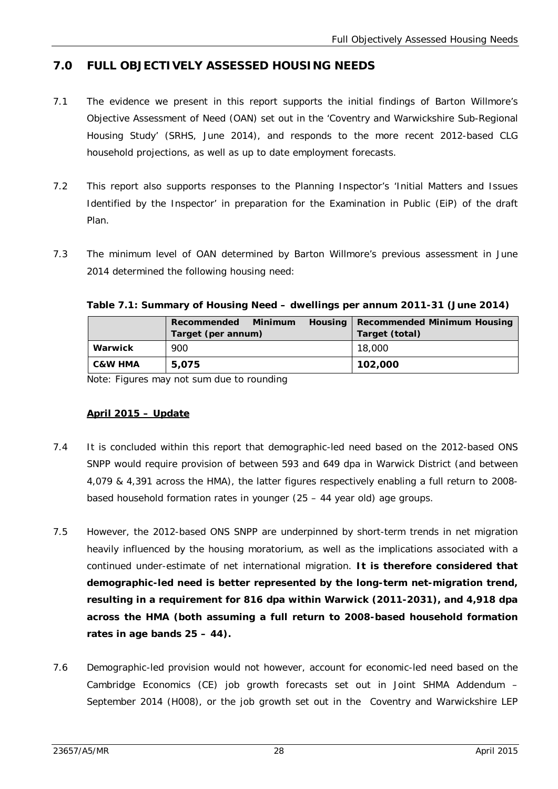# **7.0 FULL OBJECTIVELY ASSESSED HOUSING NEEDS**

- 7.1 The evidence we present in this report supports the initial findings of Barton Willmore's Objective Assessment of Need (OAN) set out in the 'Coventry and Warwickshire Sub-Regional Housing Study' (SRHS, June 2014), and responds to the more recent 2012-based CLG household projections, as well as up to date employment forecasts.
- 7.2 This report also supports responses to the Planning Inspector's 'Initial Matters and Issues Identified by the Inspector' in preparation for the Examination in Public (EiP) of the draft Plan.
- 7.3 The minimum level of OAN determined by Barton Willmore's previous assessment in June 2014 determined the following housing need:

|                    | Recommended<br>Minimum | Housing | Recommended Minimum Housing |
|--------------------|------------------------|---------|-----------------------------|
|                    | Target (per annum)     |         | Target (total)              |
| Warwick            | 900                    |         | 18,000                      |
| <b>C&amp;W HMA</b> | 5.075                  |         | 102,000                     |

Note: Figures may not sum due to rounding

## **April 2015 – Update**

- 7.4 It is concluded within this report that demographic-led need based on the 2012-based ONS SNPP would require provision of between 593 and 649 dpa in Warwick District (and between 4,079 & 4,391 across the HMA), the latter figures respectively enabling a full return to 2008 based household formation rates in younger (25 – 44 year old) age groups.
- 7.5 However, the 2012-based ONS SNPP are underpinned by short-term trends in net migration heavily influenced by the housing moratorium, as well as the implications associated with a continued under-estimate of net international migration. **It is therefore considered that demographic-led need is better represented by the long-term net-migration trend, resulting in a requirement for 816 dpa within Warwick (2011-2031), and 4,918 dpa across the HMA (both assuming a full return to 2008-based household formation rates in age bands 25 – 44).**
- 7.6 Demographic-led provision would not however, account for economic-led need based on the Cambridge Economics (CE) job growth forecasts set out in Joint SHMA Addendum – September 2014 (H008), or the job growth set out in the Coventry and Warwickshire LEP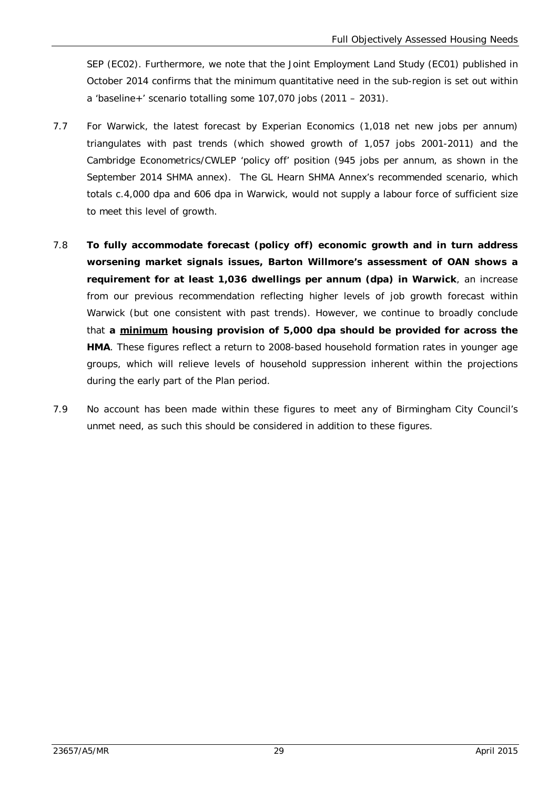SEP (EC02). Furthermore, we note that the Joint Employment Land Study (EC01) published in October 2014 confirms that the minimum quantitative need in the sub-region is set out within a 'baseline+' scenario totalling some 107,070 jobs (2011 – 2031).

- 7.7 For Warwick, the latest forecast by Experian Economics (1,018 net new jobs per annum) triangulates with past trends (which showed growth of 1,057 jobs 2001-2011) and the Cambridge Econometrics/CWLEP 'policy off' position (945 jobs per annum, as shown in the September 2014 SHMA annex). The GL Hearn SHMA Annex's recommended scenario, which totals c.4,000 dpa and 606 dpa in Warwick, would not supply a labour force of sufficient size to meet this level of growth.
- 7.8 **To fully accommodate forecast (policy off) economic growth and in turn address worsening market signals issues, Barton Willmore's assessment of OAN shows a requirement for at least 1,036 dwellings per annum (dpa) in Warwick**, an increase from our previous recommendation reflecting higher levels of job growth forecast within Warwick (but one consistent with past trends). However, we continue to broadly conclude that **a minimum housing provision of 5,000 dpa should be provided for across the HMA**. These figures reflect a return to 2008-based household formation rates in younger age groups, which will relieve levels of household suppression inherent within the projections during the early part of the Plan period.
- 7.9 No account has been made within these figures to meet any of Birmingham City Council's unmet need, as such this should be considered in addition to these figures.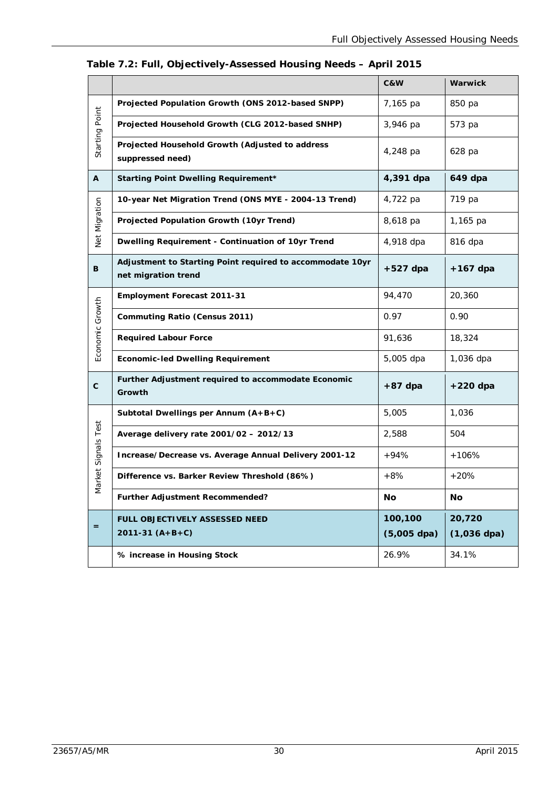|                     |                                                                                  | C&W                      | Warwick                 |
|---------------------|----------------------------------------------------------------------------------|--------------------------|-------------------------|
|                     | Projected Population Growth (ONS 2012-based SNPP)                                | 7,165 pa                 | 850 pa                  |
|                     | Projected Household Growth (CLG 2012-based SNHP)                                 | 3,946 pa                 | 573 pa                  |
| Starting Point      | Projected Household Growth (Adjusted to address<br>suppressed need)              | 4,248 pa                 | 628 pa                  |
| A                   | <b>Starting Point Dwelling Requirement*</b>                                      | 4,391 dpa                | 649 dpa                 |
|                     | 10-year Net Migration Trend (ONS MYE - 2004-13 Trend)                            | 4,722 pa                 | 719 pa                  |
| Net Migration       | Projected Population Growth (10yr Trend)                                         | 8,618 pa                 | 1,165 pa                |
|                     | Dwelling Requirement - Continuation of 10yr Trend                                | 4,918 dpa                | 816 dpa                 |
| B                   | Adjustment to Starting Point required to accommodate 10yr<br>net migration trend | $+527$ dpa               | $+167$ dpa              |
|                     | <b>Employment Forecast 2011-31</b>                                               | 94,470                   | 20,360                  |
| Economic Growth     | <b>Commuting Ratio (Census 2011)</b>                                             | 0.97                     | 0.90                    |
|                     | <b>Required Labour Force</b>                                                     | 91,636                   | 18,324                  |
|                     | <b>Economic-led Dwelling Requirement</b>                                         | 5,005 dpa                | 1,036 dpa               |
| $\mathbf{C}$        | Further Adjustment required to accommodate Economic<br>Growth                    | $+87$ dpa                | $+220$ dpa              |
|                     | Subtotal Dwellings per Annum (A+B+C)                                             | 5,005                    | 1,036                   |
| Market Signals Test | Average delivery rate 2001/02 - 2012/13                                          | 2,588                    | 504                     |
|                     | Increase/Decrease vs. Average Annual Delivery 2001-12                            | $+94%$                   | $+106%$                 |
|                     | Difference vs. Barker Review Threshold (86%)                                     | $+8%$                    | $+20%$                  |
|                     | Further Adjustment Recommended?                                                  | No                       | No                      |
| $=$                 | FULL OBJECTIVELY ASSESSED NEED<br>$2011-31(A+B+C)$                               | 100,100<br>$(5,005$ dpa) | 20,720<br>$(1,036$ dpa) |
|                     | % increase in Housing Stock                                                      | 26.9%                    | 34.1%                   |

**Table 7.2: Full, Objectively-Assessed Housing Needs – April 2015**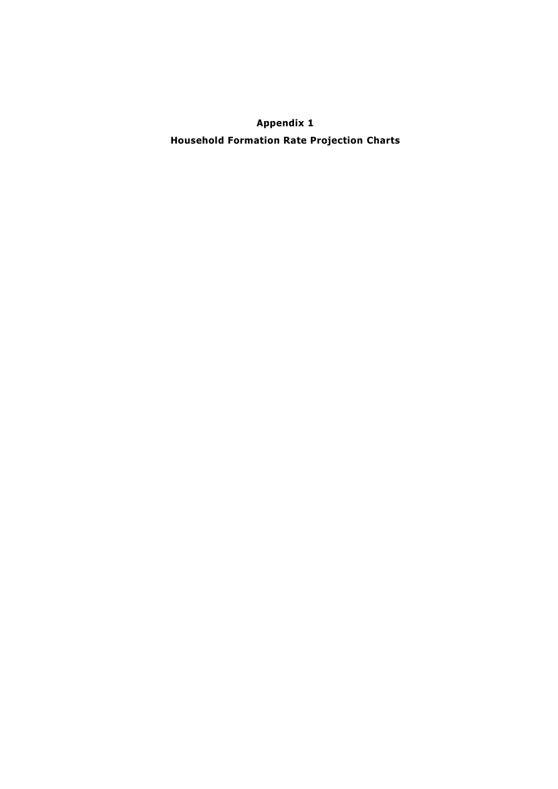**Appendix 1 Household Formation Rate Projection Charts**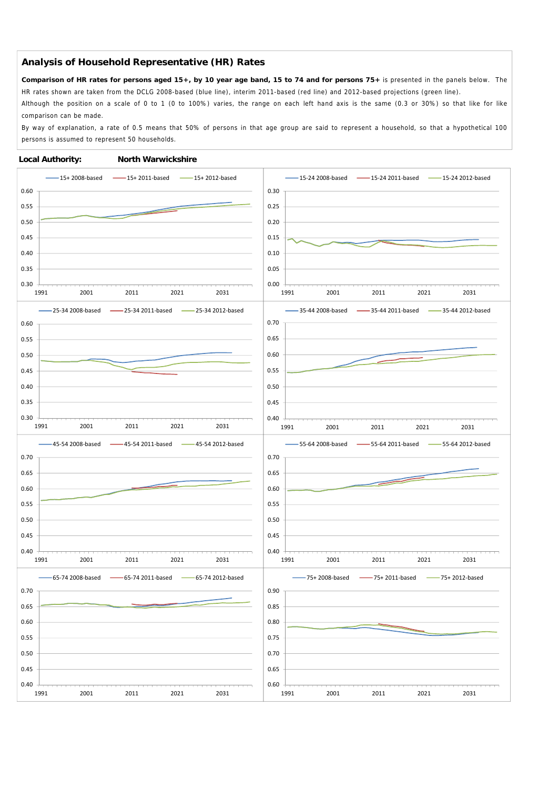**Comparison of HR rates for persons aged 15+, by 10 year age band, 15 to 74 and for persons 75+** is presented in the panels below. The HR rates shown are taken from the DCLG 2008-based (blue line), interim 2011-based (red line) and 2012-based projections (green line).

Although the position on a scale of 0 to 1 (0 to 100%) varies, the range on each left hand axis is the same (0.3 or 30%) so that like for like comparison can be made.

By way of explanation, a rate of 0.5 means that 50% of persons in that age group are said to represent a household, so that a hypothetical 100 persons is assumed to represent 50 households.

#### **Local Authority: North Warwickshire**

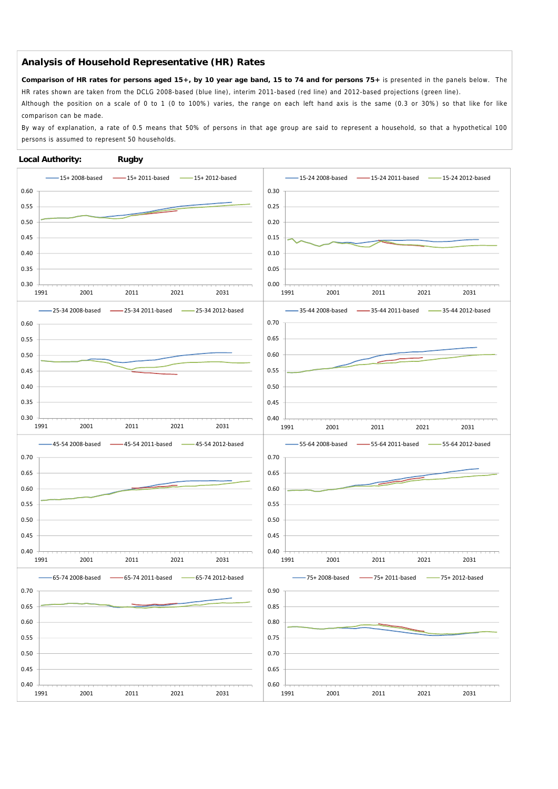**Comparison of HR rates for persons aged 15+, by 10 year age band, 15 to 74 and for persons 75+** is presented in the panels below. The HR rates shown are taken from the DCLG 2008-based (blue line), interim 2011-based (red line) and 2012-based projections (green line).

Although the position on a scale of 0 to 1 (0 to 100%) varies, the range on each left hand axis is the same (0.3 or 30%) so that like for like comparison can be made.

By way of explanation, a rate of 0.5 means that 50% of persons in that age group are said to represent a household, so that a hypothetical 100 persons is assumed to represent 50 households.

#### **Local Authority: Rugby**

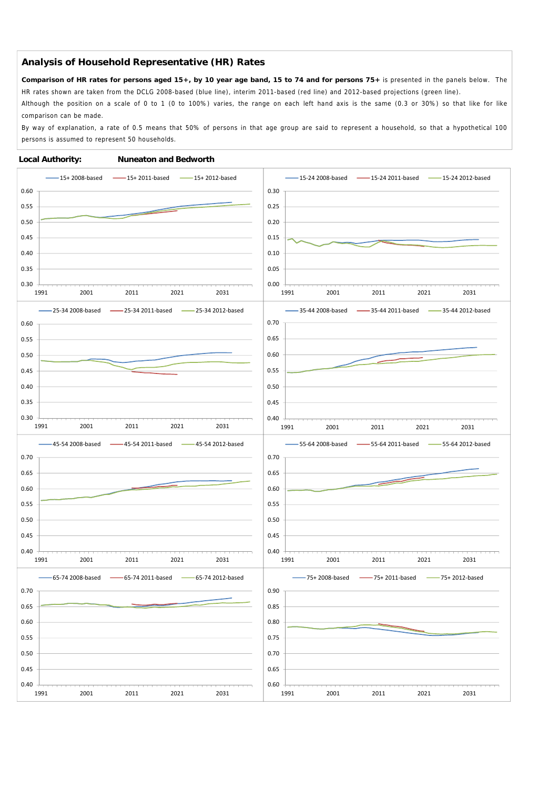**Comparison of HR rates for persons aged 15+, by 10 year age band, 15 to 74 and for persons 75+** is presented in the panels below. The HR rates shown are taken from the DCLG 2008-based (blue line), interim 2011-based (red line) and 2012-based projections (green line).

Although the position on a scale of 0 to 1 (0 to 100%) varies, the range on each left hand axis is the same (0.3 or 30%) so that like for like comparison can be made.

By way of explanation, a rate of 0.5 means that 50% of persons in that age group are said to represent a household, so that a hypothetical 100 persons is assumed to represent 50 households.

#### **Local Authority: Nuneaton and Bedworth**

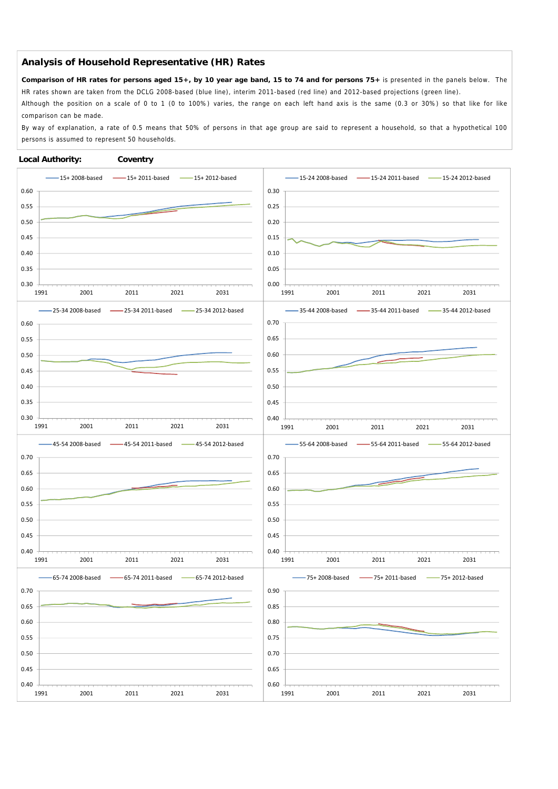**Comparison of HR rates for persons aged 15+, by 10 year age band, 15 to 74 and for persons 75+** is presented in the panels below. The HR rates shown are taken from the DCLG 2008-based (blue line), interim 2011-based (red line) and 2012-based projections (green line).

Although the position on a scale of 0 to 1 (0 to 100%) varies, the range on each left hand axis is the same (0.3 or 30%) so that like for like comparison can be made.

By way of explanation, a rate of 0.5 means that 50% of persons in that age group are said to represent a household, so that a hypothetical 100 persons is assumed to represent 50 households.

#### **Local Authority: Coventry**

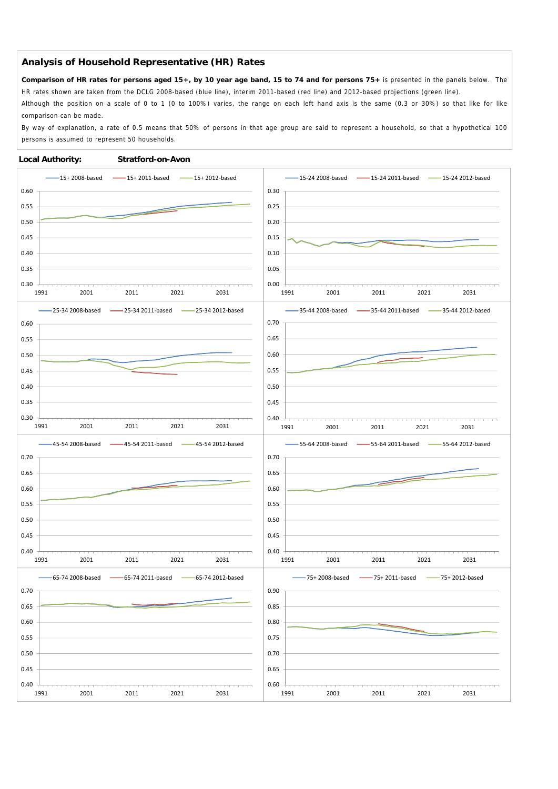**Comparison of HR rates for persons aged 15+, by 10 year age band, 15 to 74 and for persons 75+** is presented in the panels below. The HR rates shown are taken from the DCLG 2008-based (blue line), interim 2011-based (red line) and 2012-based projections (green line).

Although the position on a scale of 0 to 1 (0 to 100%) varies, the range on each left hand axis is the same (0.3 or 30%) so that like for like comparison can be made.

By way of explanation, a rate of 0.5 means that 50% of persons in that age group are said to represent a household, so that a hypothetical 100 persons is assumed to represent 50 households.

#### **Local Authority: Stratford-on-Avon**

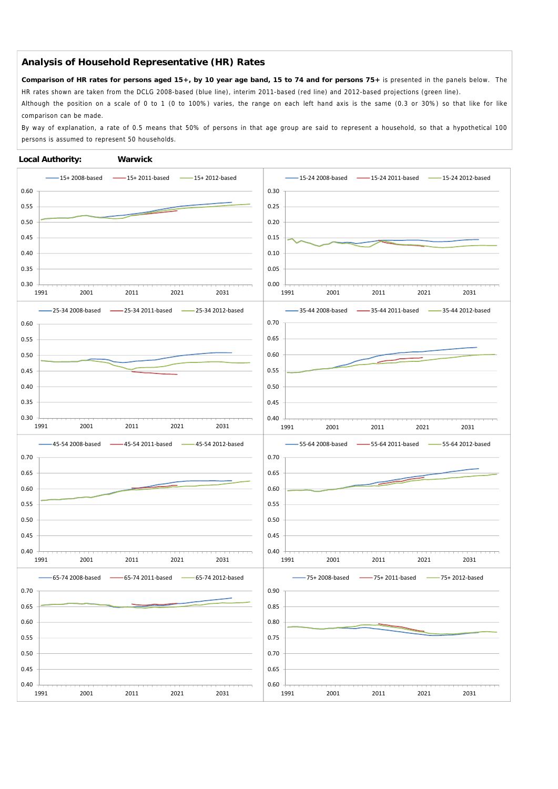**Comparison of HR rates for persons aged 15+, by 10 year age band, 15 to 74 and for persons 75+** is presented in the panels below. The HR rates shown are taken from the DCLG 2008-based (blue line), interim 2011-based (red line) and 2012-based projections (green line).

Although the position on a scale of 0 to 1 (0 to 100%) varies, the range on each left hand axis is the same (0.3 or 30%) so that like for like comparison can be made.

By way of explanation, a rate of 0.5 means that 50% of persons in that age group are said to represent a household, so that a hypothetical 100 persons is assumed to represent 50 households.

#### **Local Authority: Warwick**

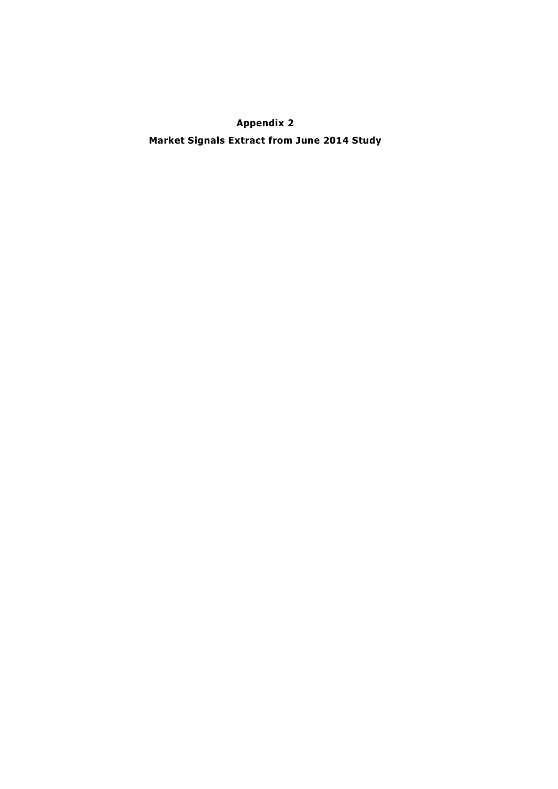**Appendix 2 Market Signals Extract from June 2014 Study**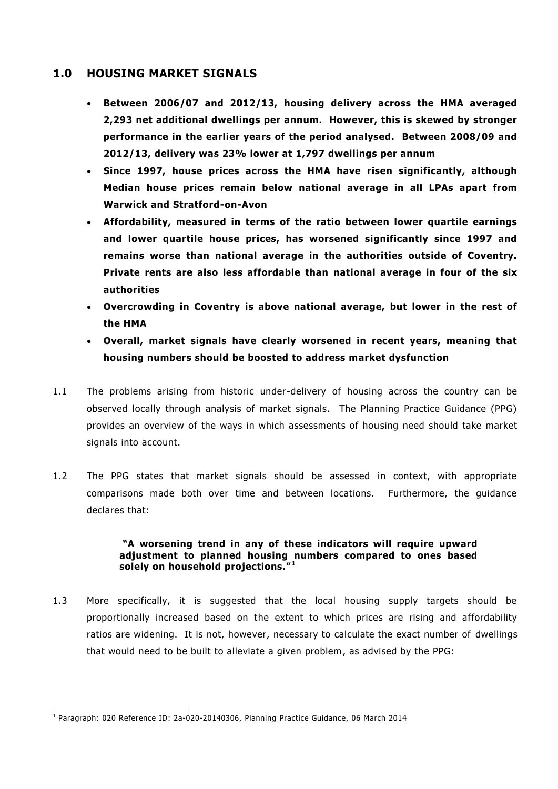### **1.0 HOUSING MARKET SIGNALS**

- **Between 2006/07 and 2012/13, housing delivery across the HMA averaged 2,293 net additional dwellings per annum. However, this is skewed by stronger performance in the earlier years of the period analysed. Between 2008/09 and 2012/13, delivery was 23% lower at 1,797 dwellings per annum**
- **Since 1997, house prices across the HMA have risen significantly, although Median house prices remain below national average in all LPAs apart from Warwick and Stratford-on-Avon**
- **Affordability, measured in terms of the ratio between lower quartile earnings and lower quartile house prices, has worsened significantly since 1997 and remains worse than national average in the authorities outside of Coventry. Private rents are also less affordable than national average in four of the six authorities**
- **Overcrowding in Coventry is above national average, but lower in the rest of the HMA**
- **Overall, market signals have clearly worsened in recent years, meaning that housing numbers should be boosted to address market dysfunction**
- 1.1 The problems arising from historic under-delivery of housing across the country can be observed locally through analysis of market signals. The Planning Practice Guidance (PPG) provides an overview of the ways in which assessments of housing need should take market signals into account.
- 1.2 The PPG states that market signals should be assessed in context, with appropriate comparisons made both over time and between locations. Furthermore, the guidance declares that:

#### **"A worsening trend in any of these indicators will require upward adjustment to planned housing numbers compared to ones based solely on household projections."<sup>1</sup>**

1.3 More specifically, it is suggested that the local housing supply targets should be proportionally increased based on the extent to which prices are rising and affordability ratios are widening. It is not, however, necessary to calculate the exact number of dwellings that would need to be built to alleviate a given problem, as advised by the PPG:

<sup>-</sup>1 Paragraph: 020 Reference ID: 2a-020-20140306, Planning Practice Guidance, 06 March 2014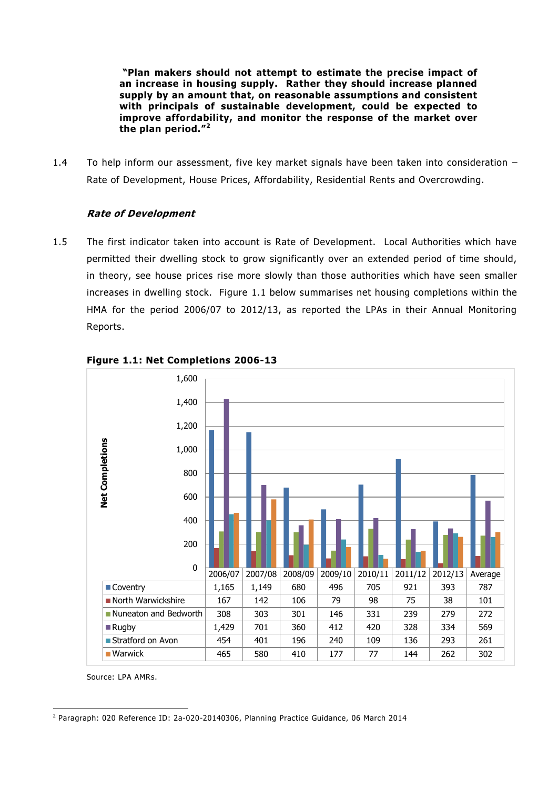**"Plan makers should not attempt to estimate the precise impact of an increase in housing supply. Rather they should increase planned supply by an amount that, on reasonable assumptions and consistent with principals of sustainable development, could be expected to improve affordability, and monitor the response of the market over the plan period."<sup>2</sup>**

1.4 To help inform our assessment, five key market signals have been taken into consideration – Rate of Development, House Prices, Affordability, Residential Rents and Overcrowding.

#### **Rate of Development**

1.5 The first indicator taken into account is Rate of Development. Local Authorities which have permitted their dwelling stock to grow significantly over an extended period of time should, in theory, see house prices rise more slowly than those authorities which have seen smaller increases in dwelling stock. Figure 1.1 below summarises net housing completions within the HMA for the period 2006/07 to 2012/13, as reported the LPAs in their Annual Monitoring Reports.



#### **Figure 1.1: Net Completions 2006-13**

Source: LPA AMRs.

<sup>-</sup>2 Paragraph: 020 Reference ID: 2a-020-20140306, Planning Practice Guidance, 06 March 2014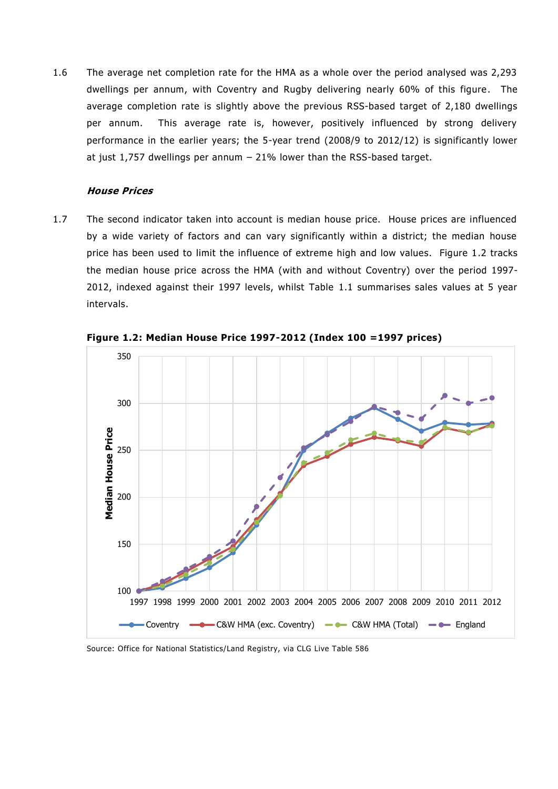1.6 The average net completion rate for the HMA as a whole over the period analysed was 2,293 dwellings per annum, with Coventry and Rugby delivering nearly 60% of this figure. The average completion rate is slightly above the previous RSS-based target of 2,180 dwellings per annum. This average rate is, however, positively influenced by strong delivery performance in the earlier years; the 5-year trend (2008/9 to 2012/12) is significantly lower at just 1,757 dwellings per annum – 21% lower than the RSS-based target.

#### **House Prices**

1.7 The second indicator taken into account is median house price. House prices are influenced by a wide variety of factors and can vary significantly within a district; the median house price has been used to limit the influence of extreme high and low values. Figure 1.2 tracks the median house price across the HMA (with and without Coventry) over the period 1997- 2012, indexed against their 1997 levels, whilst Table 1.1 summarises sales values at 5 year intervals.



**Figure 1.2: Median House Price 1997-2012 (Index 100 =1997 prices)**

Source: Office for National Statistics/Land Registry, via CLG Live Table 586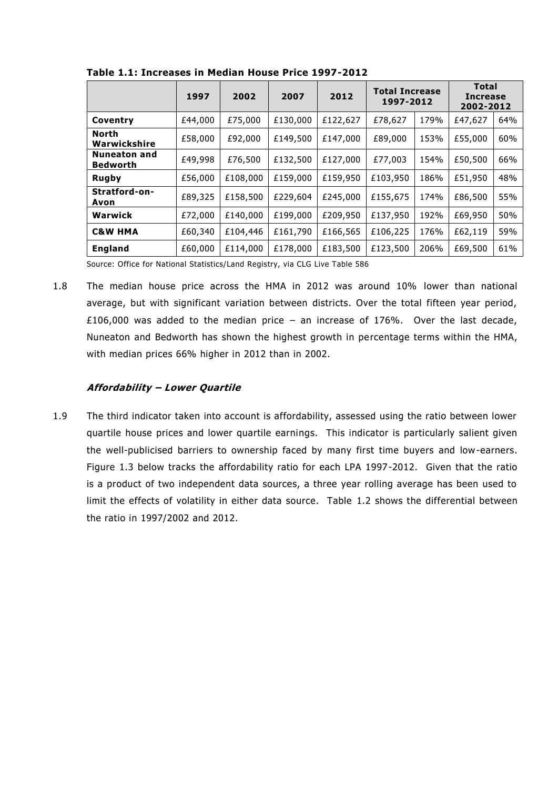|                                 | 1997    | 2002     | 2007     | 2012     | <b>Total Increase</b><br>1997-2012 |      | <b>Total</b><br><b>Increase</b><br>2002-2012 |     |
|---------------------------------|---------|----------|----------|----------|------------------------------------|------|----------------------------------------------|-----|
| Coventry                        | £44,000 | £75,000  | £130,000 | £122,627 | £78,627                            | 179% | £47,627                                      | 64% |
| North<br>Warwickshire           | £58,000 | £92,000  | £149,500 | £147,000 | £89,000                            | 153% | £55,000                                      | 60% |
| Nuneaton and<br><b>Bedworth</b> | £49,998 | £76,500  | £132,500 | £127,000 | £77,003                            | 154% | £50,500                                      | 66% |
| Rugby                           | £56,000 | £108,000 | £159,000 | £159,950 | £103,950                           | 186% | £51,950                                      | 48% |
| Stratford-on-<br>Avon           | £89,325 | £158,500 | £229,604 | £245,000 | £155,675                           | 174% | £86,500                                      | 55% |
| Warwick                         | £72,000 | £140,000 | £199,000 | £209,950 | £137,950                           | 192% | £69,950                                      | 50% |
| <b>C&amp;W HMA</b>              | £60,340 | £104,446 | £161,790 | £166,565 | £106,225                           | 176% | £62,119                                      | 59% |
| <b>England</b>                  | £60,000 | £114,000 | £178,000 | £183,500 | £123,500                           | 206% | £69,500                                      | 61% |

**Table 1.1: Increases in Median House Price 1997-2012**

Source: Office for National Statistics/Land Registry, via CLG Live Table 586

1.8 The median house price across the HMA in 2012 was around 10% lower than national average, but with significant variation between districts. Over the total fifteen year period, £106,000 was added to the median price – an increase of 176%. Over the last decade, Nuneaton and Bedworth has shown the highest growth in percentage terms within the HMA, with median prices 66% higher in 2012 than in 2002.

#### **Affordability – Lower Quartile**

1.9 The third indicator taken into account is affordability, assessed using the ratio between lower quartile house prices and lower quartile earnings. This indicator is particularly salient given the well-publicised barriers to ownership faced by many first time buyers and low-earners. Figure 1.3 below tracks the affordability ratio for each LPA 1997-2012. Given that the ratio is a product of two independent data sources, a three year rolling average has been used to limit the effects of volatility in either data source. Table 1.2 shows the differential between the ratio in 1997/2002 and 2012.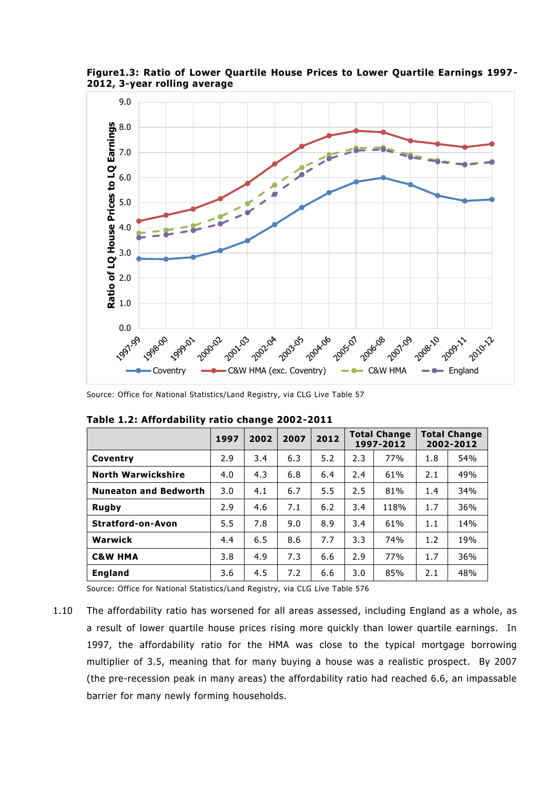

**Figure1.3: Ratio of Lower Quartile House Prices to Lower Quartile Earnings 1997- 2012, 3-year rolling average**

Source: Office for National Statistics/Land Registry, via CLG Live Table 57

|                              | 1997 | 2002 | 2007 | 2012 |     | <b>Total Change</b><br>1997-2012 |     | <b>Total Change</b><br>2002-2012 |
|------------------------------|------|------|------|------|-----|----------------------------------|-----|----------------------------------|
| Coventry                     | 2.9  | 3.4  | 6.3  | 5.2  | 2.3 | 77%                              | 1.8 | 54%                              |
| <b>North Warwickshire</b>    | 4.0  | 4.3  | 6.8  | 6.4  | 2.4 | 61%                              | 2.1 | 49%                              |
| <b>Nuneaton and Bedworth</b> | 3.0  | 4.1  | 6.7  | 5.5  | 2.5 | 81%                              | 1.4 | 34%                              |
| <b>Rugby</b>                 | 2.9  | 4.6  | 7.1  | 6.2  | 3.4 | 118%                             | 1.7 | 36%                              |
| <b>Stratford-on-Avon</b>     | 5.5  | 7.8  | 9.0  | 8.9  | 3.4 | 61%                              | 1.1 | 14%                              |
| Warwick                      | 4.4  | 6.5  | 8.6  | 7.7  | 3.3 | 74%                              | 1.2 | 19%                              |
| <b>C&amp;W HMA</b>           | 3.8  | 4.9  | 7.3  | 6.6  | 2.9 | 77%                              | 1.7 | 36%                              |
| <b>England</b>               | 3.6  | 4.5  | 7.2  | 6.6  | 3.0 | 85%                              | 2.1 | 48%                              |

**Table 1.2: Affordability ratio change 2002-2011**

Source: Office for National Statistics/Land Registry, via CLG Live Table 576

1.10 The affordability ratio has worsened for all areas assessed, including England as a whole, as a result of lower quartile house prices rising more quickly than lower quartile earnings. In 1997, the affordability ratio for the HMA was close to the typical mortgage borrowing multiplier of 3.5, meaning that for many buying a house was a realistic prospect. By 2007 (the pre-recession peak in many areas) the affordability ratio had reached 6.6, an impassable barrier for many newly forming households.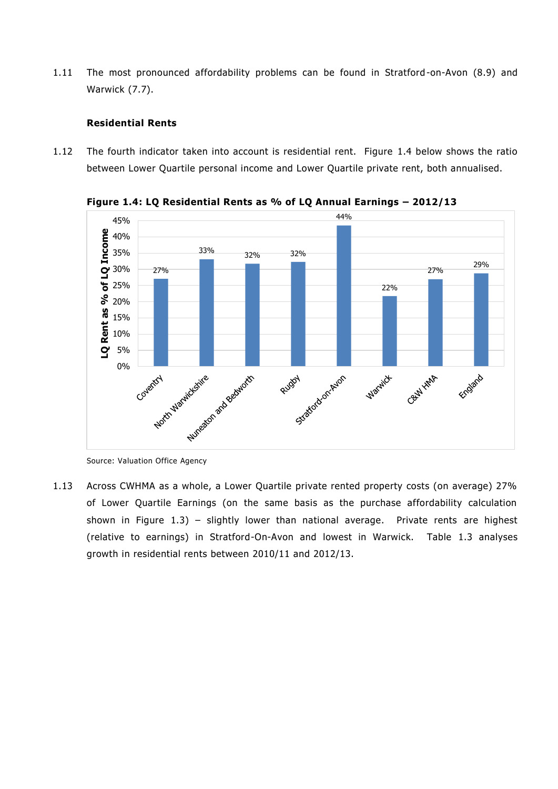1.11 The most pronounced affordability problems can be found in Stratford -on-Avon (8.9) and Warwick (7.7).

#### **Residential Rents**

1.12 The fourth indicator taken into account is residential rent. Figure 1.4 below shows the ratio between Lower Quartile personal income and Lower Quartile private rent, both annualised.



**Figure 1.4: LQ Residential Rents as % of LQ Annual Earnings – 2012/13**

1.13 Across CWHMA as a whole, a Lower Quartile private rented property costs (on average) 27% of Lower Quartile Earnings (on the same basis as the purchase affordability calculation shown in Figure  $1.3$ ) – slightly lower than national average. Private rents are highest (relative to earnings) in Stratford-On-Avon and lowest in Warwick. Table 1.3 analyses growth in residential rents between 2010/11 and 2012/13.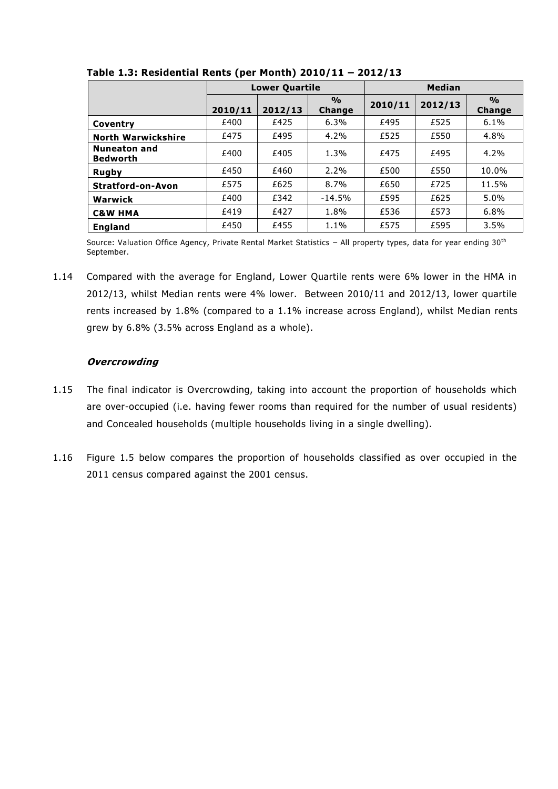|                                        |         | <b>Lower Quartile</b> |                                | <b>Median</b> |         |                                |  |
|----------------------------------------|---------|-----------------------|--------------------------------|---------------|---------|--------------------------------|--|
|                                        | 2010/11 | 2012/13               | $\frac{0}{0}$<br><b>Change</b> | 2010/11       | 2012/13 | $\frac{0}{0}$<br><b>Change</b> |  |
| Coventry                               | £400    | £425                  | 6.3%                           | £495          | £525    | 6.1%                           |  |
| <b>North Warwickshire</b>              | £475    | £495                  | 4.2%                           | £525          | £550    | 4.8%                           |  |
| <b>Nuneaton and</b><br><b>Bedworth</b> | £400    | £405                  | 1.3%                           | £475          | £495    | 4.2%                           |  |
| <b>Rugby</b>                           | £450    | £460                  | 2.2%                           | £500          | £550    | 10.0%                          |  |
| <b>Stratford-on-Avon</b>               | £575    | £625                  | 8.7%                           | £650          | £725    | 11.5%                          |  |
| Warwick                                | £400    | £342                  | $-14.5%$                       | £595          | £625    | 5.0%                           |  |
| <b>C&amp;W HMA</b>                     | £419    | £427                  | 1.8%                           | £536          | £573    | 6.8%                           |  |
| <b>England</b>                         | £450    | £455                  | 1.1%                           | £575          | £595    | 3.5%                           |  |

**Table 1.3: Residential Rents (per Month) 2010/11 – 2012/13**

Source: Valuation Office Agency, Private Rental Market Statistics - All property types, data for year ending 30<sup>th</sup> September.

1.14 Compared with the average for England, Lower Quartile rents were 6% lower in the HMA in 2012/13, whilst Median rents were 4% lower. Between 2010/11 and 2012/13, lower quartile rents increased by 1.8% (compared to a 1.1% increase across England), whilst Median rents grew by 6.8% (3.5% across England as a whole).

## **Overcrowding**

- 1.15 The final indicator is Overcrowding, taking into account the proportion of households which are over-occupied (i.e. having fewer rooms than required for the number of usual residents) and Concealed households (multiple households living in a single dwelling).
- 1.16 Figure 1.5 below compares the proportion of households classified as over occupied in the 2011 census compared against the 2001 census.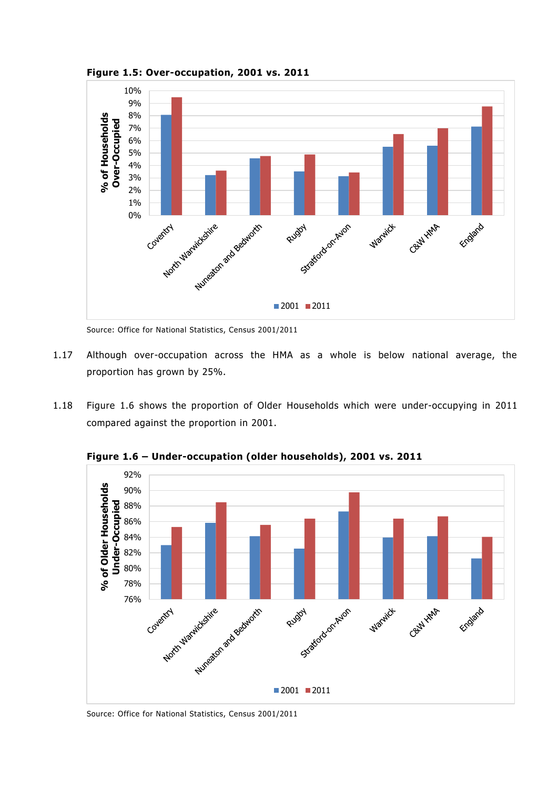



Source: Office for National Statistics, Census 2001/2011

- 1.17 Although over-occupation across the HMA as a whole is below national average, the proportion has grown by 25%.
- 1.18 Figure 1.6 shows the proportion of Older Households which were under-occupying in 2011 compared against the proportion in 2001.



**Figure 1.6 – Under-occupation (older households), 2001 vs. 2011**

Source: Office for National Statistics, Census 2001/2011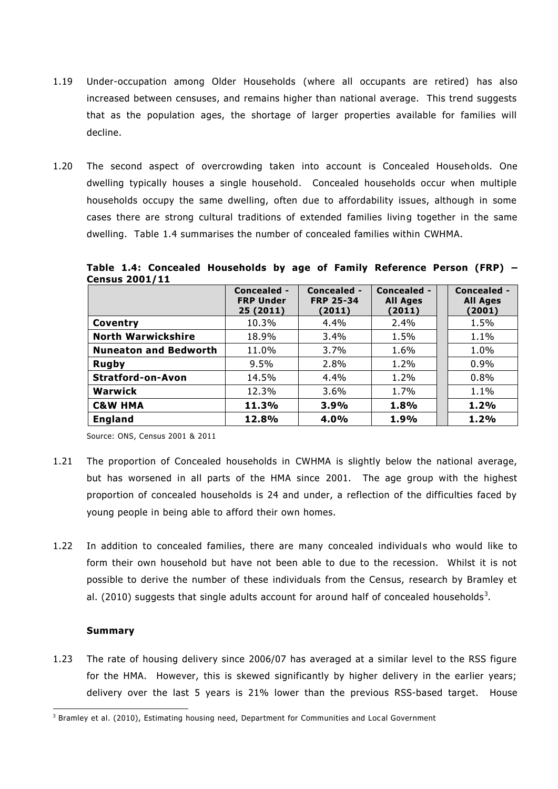- 1.19 Under-occupation among Older Households (where all occupants are retired) has also increased between censuses, and remains higher than national average. This trend suggests that as the population ages, the shortage of larger properties available for families will decline.
- 1.20 The second aspect of overcrowding taken into account is Concealed Households. One dwelling typically houses a single household. Concealed households occur when multiple households occupy the same dwelling, often due to affordability issues, although in some cases there are strong cultural traditions of extended families living together in the same dwelling. Table 1.4 summarises the number of concealed families within CWHMA.

| <b>Census 2001/11</b> |                                             |                                           |                                          |                                          |
|-----------------------|---------------------------------------------|-------------------------------------------|------------------------------------------|------------------------------------------|
|                       | Concealed -<br><b>FRP Under</b><br>25(2011) | Concealed -<br><b>FRP 25-34</b><br>(2011) | Concealed -<br><b>All Ages</b><br>(2011) | Concealed -<br><b>All Ages</b><br>(2001) |
| Coventry              | 10.3%                                       | 4.4%                                      | 2.4%                                     | 1.5%                                     |

**North Warwickshire**  $\begin{array}{|c|c|c|c|c|} \hline \textbf{18.9\%} & \textbf{3.4\%} & \textbf{1.5\%} & \textbf{1.1\%} \\ \hline \end{array}$ **Nuneaton and Bedworth** | 11.0% | 3.7% | 1.6% | | 1.0% **Rugby** 9.5% 2.8% 1.2% 0.9% **Stratford-on-Avon** | 14.5% | 4.4% | 1.2% | 0.8% **Warwick** 12.3% 3.6% 1.7% 1.1% **C&W HMA 11.3% 3.9% 1.8% 1.2% England 12.8% 4.0% 1.9% 1.2%**

**Table 1.4: Concealed Households by age of Family Reference Person (FRP) –**

Source: ONS, Census 2001 & 2011

- 1.21 The proportion of Concealed households in CWHMA is slightly below the national average, but has worsened in all parts of the HMA since 2001. The age group with the highest proportion of concealed households is 24 and under, a reflection of the difficulties faced by young people in being able to afford their own homes.
- 1.22 In addition to concealed families, there are many concealed individuals who would like to form their own household but have not been able to due to the recession. Whilst it is not possible to derive the number of these individuals from the Census, research by Bramley et al. (2010) suggests that single adults account for around half of concealed households<sup>3</sup>.

#### **Summary**

1.23 The rate of housing delivery since 2006/07 has averaged at a similar level to the RSS figure for the HMA. However, this is skewed significantly by higher delivery in the earlier years; delivery over the last 5 years is 21% lower than the previous RSS-based target. House

<sup>-</sup> $3$  Bramley et al. (2010), Estimating housing need, Department for Communities and Local Government